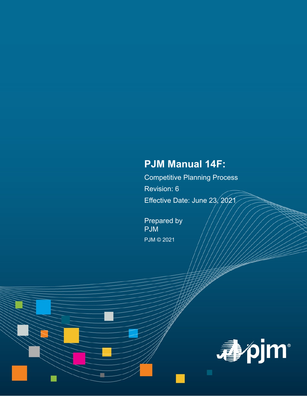# **PJM Manual 14F:**

Competitive Planning Process Revision: 6 Effective Date: June 23, 2021

Prepared by PJM PJM © 2021

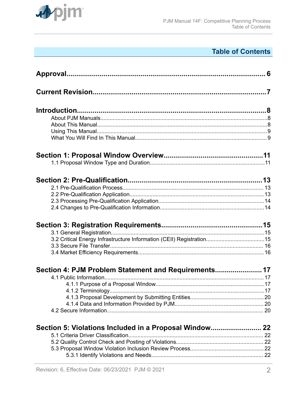

## **Table of Contents**

| Section 4: PJM Problem Statement and Requirements 17   |  |  |
|--------------------------------------------------------|--|--|
|                                                        |  |  |
|                                                        |  |  |
|                                                        |  |  |
|                                                        |  |  |
|                                                        |  |  |
|                                                        |  |  |
| Section 5: Violations Included in a Proposal Window 22 |  |  |
|                                                        |  |  |
|                                                        |  |  |
|                                                        |  |  |
|                                                        |  |  |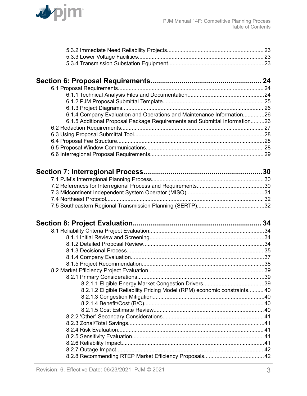

| 6.1.4 Company Evaluation and Operations and Maintenance Information26      |  |
|----------------------------------------------------------------------------|--|
| 6.1.5 Additional Proposal Package Requirements and Submittal Information26 |  |
|                                                                            |  |
|                                                                            |  |
|                                                                            |  |
|                                                                            |  |
|                                                                            |  |

| 8.2.1.2 Eligible Reliability Pricing Model (RPM) economic constraints 40 |  |
|--------------------------------------------------------------------------|--|
|                                                                          |  |
|                                                                          |  |
|                                                                          |  |
|                                                                          |  |
|                                                                          |  |
|                                                                          |  |
|                                                                          |  |
|                                                                          |  |
|                                                                          |  |
|                                                                          |  |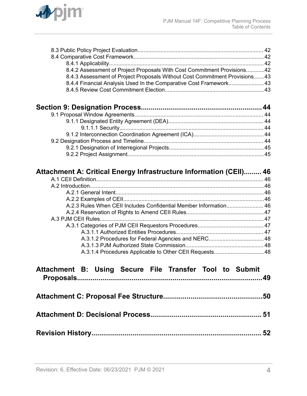

| 8.4.2 Assessment of Project Proposals With Cost Commitment Provisions42        |  |
|--------------------------------------------------------------------------------|--|
| 8.4.3 Assessment of Project Proposals Without Cost Commitment Provisions43     |  |
| 8.4.4 Financial Analysis Used In the Comparative Cost Framework 43             |  |
|                                                                                |  |
|                                                                                |  |
|                                                                                |  |
|                                                                                |  |
|                                                                                |  |
|                                                                                |  |
|                                                                                |  |
|                                                                                |  |
|                                                                                |  |
|                                                                                |  |
|                                                                                |  |
| Attachment A: Critical Energy Infrastructure Information (CEII) 46             |  |
|                                                                                |  |
|                                                                                |  |
|                                                                                |  |
|                                                                                |  |
| A.2.3 Rules When CEII Includes Confidential Member Information 46              |  |
|                                                                                |  |
|                                                                                |  |
|                                                                                |  |
|                                                                                |  |
|                                                                                |  |
| A.3.1.2 Procedures for Federal Agencies and NERC 48                            |  |
|                                                                                |  |
|                                                                                |  |
|                                                                                |  |
| <b>B:</b><br><b>Using</b><br>Secure File Transfer Tool to Submit<br>Attachment |  |
|                                                                                |  |
|                                                                                |  |
|                                                                                |  |
|                                                                                |  |
|                                                                                |  |
|                                                                                |  |
|                                                                                |  |
|                                                                                |  |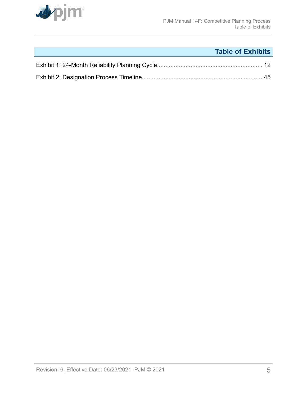

## **Table of Exhibits**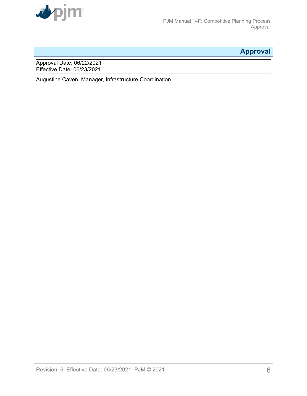<span id="page-5-0"></span>

## **Approval**

Approval Date: 06/22/2021 Effective Date: 06/23/2021

Augustine Caven, Manager, Infrastructure Coordination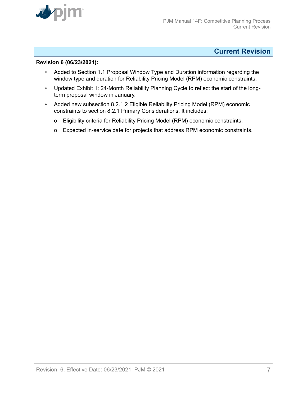<span id="page-6-0"></span>

## **Current Revision**

#### **Revision 6 (06/23/2021):**

- Added to Section 1.1 Proposal Window Type and Duration information regarding the window type and duration for Reliability Pricing Model (RPM) economic constraints.
- Updated Exhibit 1: 24-Month Reliability Planning Cycle to reflect the start of the longterm proposal window in January.
- Added new subsection 8.2.1.2 Eligible Reliability Pricing Model (RPM) economic constraints to section 8.2.1 Primary Considerations. It includes:
	- o Eligibility criteria for Reliability Pricing Model (RPM) economic constraints.
	- o Expected in-service date for projects that address RPM economic constraints.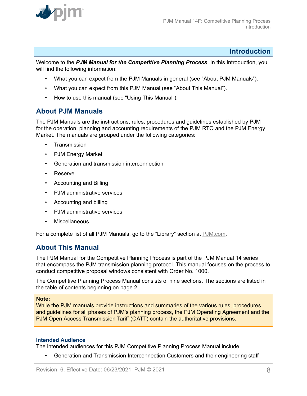<span id="page-7-0"></span>

#### **Introduction**

Welcome to the *PJM Manual for the Competitive Planning Process*. In this Introduction, you will find the following information:

- What you can expect from the PJM Manuals in general (see "About PJM Manuals").
- What you can expect from this PJM Manual (see "About This Manual").
- How to use this manual (see "Using This Manual").

## **About PJM Manuals**

The PJM Manuals are the instructions, rules, procedures and guidelines established by PJM for the operation, planning and accounting requirements of the PJM RTO and the PJM Energy Market. The manuals are grouped under the following categories:

- **Transmission**
- PJM Energy Market
- Generation and transmission interconnection
- Reserve
- Accounting and Billing
- PJM administrative services
- Accounting and billing
- PJM administrative services
- Miscellaneous

For a complete list of all PJM Manuals, go to the "Library" section at [PJM.com.](http://www.pjm.com/)

### **About This Manual**

The PJM Manual for the Competitive Planning Process is part of the PJM Manual 14 series that encompass the PJM transmission planning protocol. This manual focuses on the process to conduct competitive proposal windows consistent with Order No. 1000.

The Competitive Planning Process Manual consists of nine sections. The sections are listed in the table of contents beginning on page 2.

#### **Note:**

While the PJM manuals provide instructions and summaries of the various rules, procedures and guidelines for all phases of PJM's planning process, the PJM Operating Agreement and the PJM Open Access Transmission Tariff (OATT) contain the authoritative provisions.

#### **Intended Audience**

The intended audiences for this PJM Competitive Planning Process Manual include:

• Generation and Transmission Interconnection Customers and their engineering staff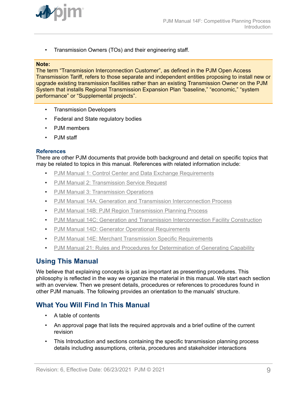<span id="page-8-0"></span>

• Transmission Owners (TOs) and their engineering staff.

#### **Note:**

The term "Transmission Interconnection Customer", as defined in the PJM Open Access Transmission Tariff, refers to those separate and independent entities proposing to install new or upgrade existing transmission facilities rather than an existing Transmission Owner on the PJM System that installs Regional Transmission Expansion Plan "baseline," "economic," "system performance" or "Supplemental projects".

- Transmission Developers
- Federal and State regulatory bodies
- PJM members
- PJM staff

#### **References**

There are other PJM documents that provide both background and detail on specific topics that may be related to topics in this manual. References with related information include:

- [PJM Manual 1: Control Center and Data Exchange Requirements](http://www.pjm.com/~/media/documents/manuals/m01.ashx)
- [PJM Manual 2: Transmission Service Request](http://www.pjm.com/~/media/documents/manuals/m02.ashx)
- [PJM Manual 3: Transmission Operations](http://www.pjm.com/~/media/documents/manuals/m03.ashx)
- [PJM Manual 14A: Generation and Transmission Interconnection Process](http://www.pjm.com/~/media/documents/manuals/m14a.ashx)
- [PJM Manual 14B: PJM Region Transmission Planning Process](http://www.pjm.com/~/media/documents/manuals/m14b.ashx)
- [PJM Manual 14C: Generation and Transmission Interconnection Facility Construction](http://www.pjm.com/~/media/documents/manuals/m14c.ashx)
- [PJM Manual 14D: Generator Operational Requirements](http://www.pjm.com/~/media/documents/manuals/m14d.ashx)
- [PJM Manual 14E: Merchant Transmission Specific Requirements](http://www.pjm.com/~/media/documents/manuals/m14e.ashx)
- [PJM Manual 21: Rules and Procedures for Determination of Generating Capability](http://www.pjm.com/~/media/documents/manuals/m21.ashx)

## **Using This Manual**

We believe that explaining concepts is just as important as presenting procedures. This philosophy is reflected in the way we organize the material in this manual. We start each section with an overview. Then we present details, procedures or references to procedures found in other PJM manuals. The following provides an orientation to the manuals' structure.

### **What You Will Find In This Manual**

- A table of contents
- An approval page that lists the required approvals and a brief outline of the current revision
- This Introduction and sections containing the specific transmission planning process details including assumptions, criteria, procedures and stakeholder interactions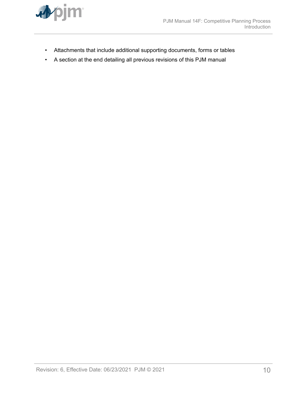

- Attachments that include additional supporting documents, forms or tables
- A section at the end detailing all previous revisions of this PJM manual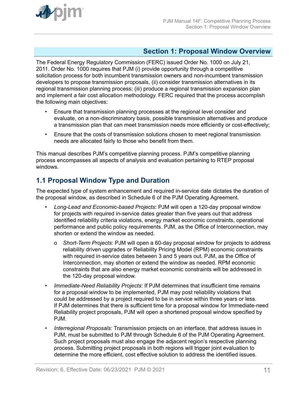<span id="page-10-0"></span>

## **Section 1: Proposal Window Overview**

The Federal Energy Regulatory Commission (FERC) issued Order No. 1000 on July 21, 2011. Order No. 1000 requires that PJM (i) provide opportunity through a competitive solicitation process for both incumbent transmission owners and non-incumbent transmission developers to propose transmission proposals, (ii) consider transmission alternatives in its regional transmission planning process; (iii) produce a regional transmission expansion plan and implement a fair cost allocation methodology. FERC required that the process accomplish the following main objectives:

- Ensure that transmission planning processes at the regional level consider and evaluate, on a non-discriminatory basis, possible transmission alternatives and produce a transmission plan that can meet transmission needs more efficiently or cost-effectively;
- Ensure that the costs of transmission solutions chosen to meet regional transmission needs are allocated fairly to those who benefit from them.

This manual describes PJM's competitive planning process. PJM's competitive planning process encompasses all aspects of analysis and evaluation pertaining to RTEP proposal windows.

## **1.1 Proposal Window Type and Duration**

The expected type of system enhancement and required in-service date dictates the duration of the proposal window, as described in Schedule 6 of the PJM Operating Agreement.

- *Long-Lead and Economic-based Projects*: PJM will open a 120-day proposal window for projects with required in-service dates greater than five years out that address identified reliability criteria violations, energy market economic constraints, operational performance and public policy requirements. PJM, as the Office of Interconnection, may shorten or extend the window as needed.
	- o *Short-Term Projects*: PJM will open a 60-day proposal window for projects to address reliability driven upgrades or Reliability Pricing Model (RPM) economic constraints with required in-service dates between 3 and 5 years out. PJM, as the Office of Interconnection, may shorten or extend the window as needed. RPM economic constraints that are also energy market economic constraints will be addressed in the 120-day proposal window.
- *Immediate-Need Reliability Projects*: If PJM determines that insufficient time remains for a proposal window to be implemented, PJM may post reliability violations that could be addressed by a project required to be in service within three years or less. If PJM determines that there is sufficient time for a proposal window for Immediate-need Reliability project proposals, PJM will open a shortened proposal window specified by PJM.
- *Interregional Proposals:* Transmission projects on an interface, that address issues in PJM, must be submitted to PJM through Schedule 6 of the PJM Operating Agreement. Such project proposals must also engage the adjacent region's respective planning process. Submitting project proposals in both regions will trigger joint evaluation to determine the more efficient, cost effective solution to address the identified issues.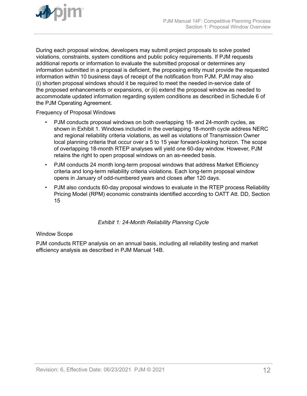<span id="page-11-0"></span>

During each proposal window, developers may submit project proposals to solve posted violations, constraints, system conditions and public policy requirements. If PJM requests additional reports or information to evaluate the submitted proposal or determines any information submitted in a proposal is deficient, the proposing entity must provide the requested information within 10 business days of receipt of the notification from PJM. PJM may also (i) shorten proposal windows should it be required to meet the needed in-service date of the proposed enhancements or expansions, or (ii) extend the proposal window as needed to accommodate updated information regarding system conditions as described in Schedule 6 of the PJM Operating Agreement.

Frequency of Proposal Windows

- PJM conducts proposal windows on both overlapping 18- and 24-month cycles, as shown in Exhibit 1. Windows included in the overlapping 18-month cycle address NERC and regional reliability criteria violations, as well as violations of Transmission Owner local planning criteria that occur over a 5 to 15 year forward-looking horizon. The scope of overlapping 18-month RTEP analyses will yield one 60-day window. However, PJM retains the right to open proposal windows on an as-needed basis.
- PJM conducts 24 month long-term proposal windows that address Market Efficiency criteria and long-term reliability criteria violations. Each long-term proposal window opens in January of odd-numbered years and closes after 120 days.
- PJM also conducts 60-day proposal windows to evaluate in the RTEP process Reliability Pricing Model (RPM) economic constraints identified according to OATT Att. DD, Section 15

*Exhibit 1: 24-Month Reliability Planning Cycle*

#### Window Scope

PJM conducts RTEP analysis on an annual basis, including all reliability testing and market efficiency analysis as described in PJM Manual 14B.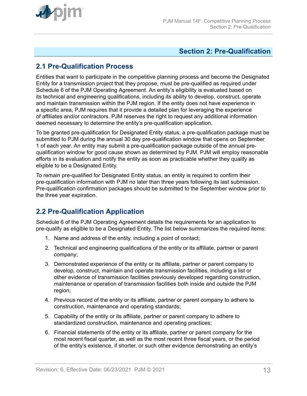<span id="page-12-0"></span>

## **Section 2: Pre-Qualification**

## **2.1 Pre-Qualification Process**

Entities that want to participate in the competitive planning process and become the Designated Entity for a transmission project that they propose, must be pre-qualified as required under Schedule 6 of the PJM Operating Agreement. An entity's eligibility is evaluated based on its technical and engineering qualifications, including its ability to develop, construct, operate and maintain transmission within the PJM region. If the entity does not have experience in a specific area, PJM requires that it provide a detailed plan for leveraging the experience of affiliates and/or contractors. PJM reserves the right to request any additional information deemed necessary to determine the entity's pre-qualification application.

To be granted pre-qualification for Designated Entity status, a pre-qualification package must be submitted to PJM during the annual 30 day pre-qualification window that opens on September 1 of each year. An entity may submit a pre-qualification package outside of the annual prequalification window for good cause shown as determined by PJM. PJM will employ reasonable efforts in its evaluation and notify the entity as soon as practicable whether they qualify as eligible to be a Designated Entity.

To remain pre-qualified for Designated Entity status, an entity is required to confirm their pre-qualification information with PJM no later than three years following its last submission. Pre-qualification confirmation packages should be submitted to the September window prior to the three year expiration.

## **2.2 Pre-Qualification Application**

Schedule 6 of the PJM Operating Agreement details the requirements for an application to pre-qualify as eligible to be a Designated Entity. The list below summarizes the required items:

- 1. Name and address of the entity, including a point of contact;
- 2. Technical and engineering qualifications of the entity or its affiliate, partner or parent company;
- 3. Demonstrated experience of the entity or its affiliate, partner or parent company to develop, construct, maintain and operate transmission facilities, including a list or other evidence of transmission facilities previously developed regarding construction, maintenance or operation of transmission facilities both inside and outside the PJM region;
- 4. Previous record of the entity or its affiliate, partner or parent company to adhere to construction, maintenance and operating standards;
- 5. Capability of the entity or its affiliate, partner or parent company to adhere to standardized construction, maintenance and operating practices;
- 6. Financial statements of the entity or its affiliate, partner or parent company for the most recent fiscal quarter, as well as the most recent three fiscal years, or the period of the entity's existence, if shorter, or such other evidence demonstrating an entity's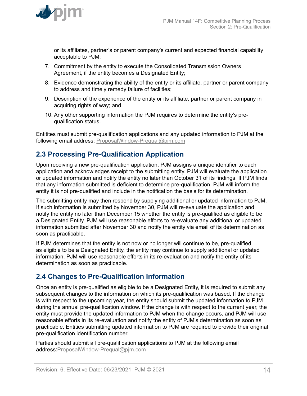<span id="page-13-0"></span>

or its affiliates, partner's or parent company's current and expected financial capability acceptable to PJM;

- 7. Commitment by the entity to execute the Consolidated Transmission Owners Agreement, if the entity becomes a Designated Entity;
- 8. Evidence demonstrating the ability of the entity or its affiliate, partner or parent company to address and timely remedy failure of facilities;
- 9. Description of the experience of the entity or its affiliate, partner or parent company in acquiring rights of way; and
- 10. Any other supporting information the PJM requires to determine the entity's prequalification status.

Entitites must submit pre-qualification applications and any updated information to PJM at the following email address: [ProposalWindow-Prequal@pjm.com](mailto:ProposalWindow-Prequal@pjm.com)

## **2.3 Processing Pre-Qualification Application**

Upon receiving a new pre-qualification application, PJM assigns a unique identifier to each application and acknowledges receipt to the submitting entity. PJM will evaluate the application or updated information and notify the entity no later than October 31 of its findings. If PJM finds that any information submitted is deficient to determine pre-qualification, PJM will inform the entity it is not pre-qualified and include in the notification the basis for its determination.

The submitting entity may then respond by supplying additional or updated information to PJM. If such information is submitted by November 30, PJM will re-evaluate the application and notify the entity no later than December 15 whether the entity is pre-qualified as eligible to be a Designated Entity. PJM will use reasonable efforts to re-evaluate any additional or updated information submitted after November 30 and notify the entity via email of its determination as soon as practicable.

If PJM determines that the entity is not now or no longer will continue to be, pre-qualified as eligible to be a Designated Entity, the entity may continue to supply additional or updated information. PJM will use reasonable efforts in its re-evaluation and notify the entity of its determination as soon as practicable.

## **2.4 Changes to Pre-Qualification Information**

Once an entity is pre-qualified as eligible to be a Designated Entity, it is required to submit any subsequent changes to the information on which its pre-qualification was based. If the change is with respect to the upcoming year, the entity should submit the updated information to PJM during the annual pre-qualification window. If the change is with respect to the current year, the entity must provide the updated information to PJM when the change occurs, and PJM will use reasonable efforts in its re-evaluation and notify the entity of PJM's determination as soon as practicable. Entities submitting updated information to PJM are required to provide their original pre-qualification identification number.

Parties should submit all pre-qualification applications to PJM at the following email address[:ProposalWindow-Prequal@pjm.com](mailto:ProposalWindow-Prequal@pjm.com)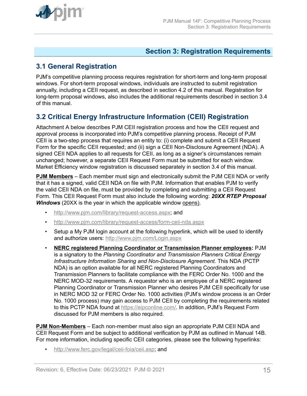<span id="page-14-0"></span>

### **Section 3: Registration Requirements**

## **3.1 General Registration**

PJM's competitive planning process requires registration for short-term and long-term proposal windows. For short-term proposal windows, individuals are instructed to submit registration annually, including a CEII request, as described in section 4.2 of this manual. Registration for long-term proposal windows, also includes the additional requirements described in section 3.4 of this manual.

## **3.2 Critical Energy Infrastructure Information (CEII) Registration**

Attachment A below describes PJM CEII registration process and how the CEII request and approval process is incorporated into PJM's competitive planning process. Receipt of PJM CEII is a two-step process that requires an entity to: (i) complete and submit a CEII Request Form for the specific CEII requested; and (ii) sign a CEII Non-Disclosure Agreement (NDA). A signed CEII NDA applies to all requests for CEII, as long as a signer's circumstances remain unchanged; however, a separate CEII Request Form must be submitted for each window. Market Efficiency window registration is discussed separately in section 3.4 of this manual.

**PJM Members** – Each member must sign and electronically submit the PJM CEII NDA or verify that it has a signed, valid CEII NDA on file with PJM. Information that enables PJM to verify the valid CEII NDA on file, must be provided by completing and submitting a CEII Request Form. This CEII Request Form must also include the following wording: *20XX RTEP Proposal Windows* (20XX is the year in which the applicable window opens).

- <http://www.pjm.com/library/request-access.aspx>; and
- <http://www.pjm.com/library/request-access/form-ceii-nda.aspx>
- Setup a My PJM login account at the following hyperlink, which will be used to identify and authorize users:<http://www.pjm.com/Login.aspx>
- **NERC registered Planning Coordinator or Transmission Planner employees:** PJM is a signatory to the *Planning Coordinator and Transmission Planners Critical Energy Infrastructure Information Sharing and Non-Disclosure Agreement.* This NDA (PCTP NDA) is an option available for all NERC registered Planning Coordinators and Transmission Planners to facilitate compliance with the FERC Order No. 1000 and the NERC MOD-32 requirements. A requestor who is an employee of a NERC registered Planning Coordinator or Transmission Planner who desires PJM CEII specifically for use in NERC MOD 32 or FERC Order No. 1000 activities (PJM's window process is an Order No. 1000 process) may gain access to PJM CEII by completing the requirements related to this PCTP NDA found at <https://eipconline.com/>. In addition, PJM's Request Form discussed for PJM members is also required.

**PJM Non-Members** – Each non-member must also sign an appropriate PJM CEII NDA and CEII Request Form and be subject to additional verification by PJM as outlined in Manual 14B. For more information, including specific CEII categories, please see the following hyperlinks:

• <http://www.ferc.gov/legal/ceii-foia/ceii.asp>; and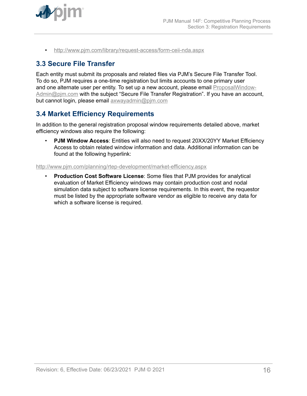<span id="page-15-0"></span>

• <http://www.pjm.com/library/request-access/form-ceii-nda.aspx>

## **3.3 Secure File Transfer**

Each entity must submit its proposals and related files via PJM's Secure File Transfer Tool. To do so, PJM requires a one-time registration but limits accounts to one primary user and one alternate user per entity. To set up a new account, please email [ProposalWindow-](mailto:ProposalWindow-Admin@pjm.com)[Admin@pjm.com](mailto:ProposalWindow-Admin@pjm.com) with the subject "Secure File Transfer Registration". If you have an account, but cannot login, please email [axwayadmin@pjm.com](mailto:axwayadmin@pjm.com)

## **3.4 Market Efficiency Requirements**

In addition to the general registration proposal window requirements detailed above, market efficiency windows also require the following:

• **PJM Window Access**: Entities will also need to request 20XX/20YY Market Efficiency Access to obtain related window information and data. Additional information can be found at the following hyperlink:

#### <http://www.pjm.com/planning/rtep-development/market-efficiency.aspx>

• **Production Cost Software License**: Some files that PJM provides for analytical evaluation of Market Efficiency windows may contain production cost and nodal simulation data subject to software license requirements. In this event, the requestor must be listed by the appropriate software vendor as eligible to receive any data for which a software license is required.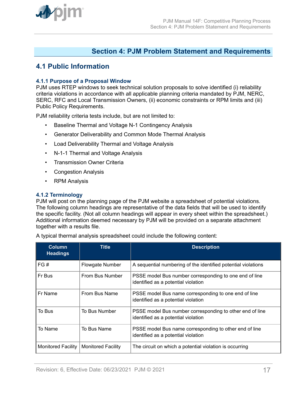<span id="page-16-0"></span>

### **Section 4: PJM Problem Statement and Requirements**

## **4.1 Public Information**

#### **4.1.1 Purpose of a Proposal Window**

PJM uses RTEP windows to seek technical solution proposals to solve identified (i) reliability criteria violations in accordance with all applicable planning criteria mandated by PJM, NERC, SERC, RFC and Local Transmission Owners, (ii) economic constraints or RPM limits and (iii) Public Policy Requirements.

PJM reliability criteria tests include, but are not limited to:

- Baseline Thermal and Voltage N-1 Contingency Analysis
- Generator Deliverability and Common Mode Thermal Analysis
- Load Deliverability Thermal and Voltage Analysis
- N-1-1 Thermal and Voltage Analysis
- Transmission Owner Criteria
- Congestion Analysis
- RPM Analysis

#### **4.1.2 Terminology**

PJM will post on the planning page of the PJM website a spreadsheet of potential violations. The following column headings are representative of the data fields that will be used to identify the specific facility. (Not all column headings will appear in every sheet within the spreadsheet.) Additional information deemed necessary by PJM will be provided on a separate attachment together with a results file.

A typical thermal analysis spreadsheet could include the following content:

| <b>Column</b><br><b>Headings</b> | <b>Title</b>              | <b>Description</b>                                                                              |
|----------------------------------|---------------------------|-------------------------------------------------------------------------------------------------|
| FG#                              | Flowgate Number           | A sequential numbering of the identified potential violations                                   |
| Fr Bus                           | From Bus Number           | PSSE model Bus number corresponding to one end of line<br>identified as a potential violation   |
| Fr Name                          | From Bus Name             | PSSE model Bus name corresponding to one end of line<br>identified as a potential violation     |
| To Bus                           | To Bus Number             | PSSE model Bus number corresponding to other end of line<br>identified as a potential violation |
| To Name                          | To Bus Name               | PSSE model Bus name corresponding to other end of line<br>identified as a potential violation   |
| <b>Monitored Facility</b>        | <b>Monitored Facility</b> | The circuit on which a potential violation is occurring                                         |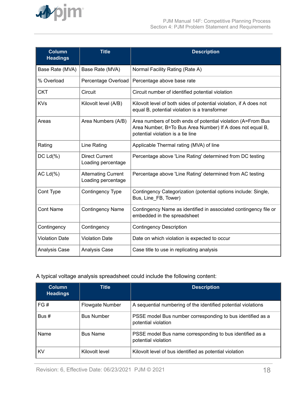

| <b>Column</b><br><b>Headings</b> | <b>Title</b>                                     | <b>Description</b>                                                                                                                                             |
|----------------------------------|--------------------------------------------------|----------------------------------------------------------------------------------------------------------------------------------------------------------------|
| Base Rate (MVA)                  | Base Rate (MVA)                                  | Normal Facility Rating (Rate A)                                                                                                                                |
| % Overload                       | Percentage Overload                              | Percentage above base rate                                                                                                                                     |
| CKT                              | Circuit                                          | Circuit number of identified potential violation                                                                                                               |
| <b>KVs</b>                       | Kilovolt level (A/B)                             | Kilovolt level of both sides of potential violation, if A does not<br>equal B, potential violation is a transformer                                            |
| Areas                            | Area Numbers (A/B)                               | Area numbers of both ends of potential violation (A=From Bus<br>Area Number, B=To Bus Area Number) If A does not equal B,<br>potential violation is a tie line |
| Rating                           | Line Rating                                      | Applicable Thermal rating (MVA) of line                                                                                                                        |
| $DC Ld(\%)$                      | <b>Direct Current</b><br>Loading percentage      | Percentage above 'Line Rating' determined from DC testing                                                                                                      |
| AC $Ld(\%)$                      | <b>Alternating Current</b><br>Loading percentage | Percentage above 'Line Rating' determined from AC testing                                                                                                      |
| Cont Type                        | Contingency Type                                 | Contingency Categorization (potential options include: Single,<br>Bus, Line FB, Tower)                                                                         |
| <b>Cont Name</b>                 | <b>Contingency Name</b>                          | Contingency Name as identified in associated contingency file or<br>embedded in the spreadsheet                                                                |
| Contingency                      | Contingency                                      | <b>Contingency Description</b>                                                                                                                                 |
| <b>Violation Date</b>            | <b>Violation Date</b>                            | Date on which violation is expected to occur                                                                                                                   |
| Analysis Case                    | Analysis Case                                    | Case title to use in replicating analysis                                                                                                                      |

#### A typical voltage analysis spreadsheet could include the following content:

| <b>Column</b><br><b>Headings</b> | <b>Title</b>      | <b>Description</b>                                                                |
|----------------------------------|-------------------|-----------------------------------------------------------------------------------|
| FG#                              | Flowgate Number   | A sequential numbering of the identified potential violations                     |
| Bus #                            | <b>Bus Number</b> | PSSE model Bus number corresponding to bus identified as a<br>potential violation |
| Name                             | <b>Bus Name</b>   | PSSE model Bus name corresponding to bus identified as a<br>potential violation   |
| KV                               | Kilovolt level    | Kilovolt level of bus identified as potential violation                           |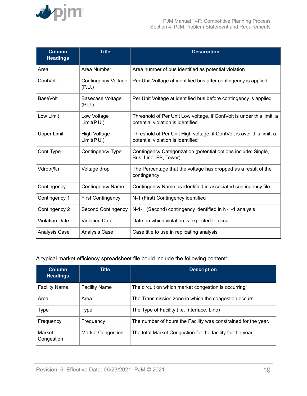

| <b>Column</b><br><b>Headings</b> | <b>Title</b>                         | <b>Description</b>                                                                                         |
|----------------------------------|--------------------------------------|------------------------------------------------------------------------------------------------------------|
| Area                             | Area Number                          | Area number of bus identified as potential violation                                                       |
| ContVolt                         | <b>Contingency Voltage</b><br>(P.U.) | Per Unit Voltage at identified bus after contingency is applied                                            |
| BaseVolt                         | <b>Basecase Voltage</b><br>(P.U.)    | Per Unit Voltage at identified bus before contingency is applied                                           |
| Low Limit                        | Low Voltage<br>Limit(P.U.)           | Threshold of Per Unit Low voltage, if ContVolt is under this limit, a<br>potential violation is identified |
| <b>Upper Limit</b>               | <b>High Voltage</b><br>Limit(P.U.)   | Threshold of Per Unit High voltage, if ContVolt is over this limit, a<br>potential violation is identified |
| Cont Type                        | <b>Contingency Type</b>              | Contingency Categorization (potential options include: Single,<br>Bus, Line FB, Tower)                     |
| Vdrop(%)                         | Voltage drop                         | The Percentage that the voltage has dropped as a result of the<br>contingency                              |
| Contingency                      | <b>Contingency Name</b>              | Contingency Name as identified in associated contingency file                                              |
| Contingency 1                    | <b>First Contingency</b>             | N-1 (First) Contingency identified                                                                         |
| Contingency 2                    | <b>Second Contingency</b>            | N-1-1 (Second) contingency identified in N-1-1 analysis                                                    |
| <b>Violation Date</b>            | <b>Violation Date</b>                | Date on which violation is expected to occur                                                               |
| Analysis Case                    | <b>Analysis Case</b>                 | Case title to use in replicating analysis                                                                  |

#### A typical market efficiency spreadsheet file could include the following content:

| <b>Column</b><br><b>Headings</b> | <b>Title</b>             | <b>Description</b>                                             |
|----------------------------------|--------------------------|----------------------------------------------------------------|
| <b>Facility Name</b>             | <b>Facility Name</b>     | The circuit on which market congestion is occurring            |
| Area                             | Area                     | The Transmission zone in which the congestion occurs           |
| <b>Type</b>                      | Type                     | The Type of Facility (i.e. Interface, Line)                    |
| Frequency                        | Frequency                | The number of hours the Facility was constrained for the year. |
| Market<br>Congestion             | <b>Market Congestion</b> | The total Market Congestion for the facility for the year.     |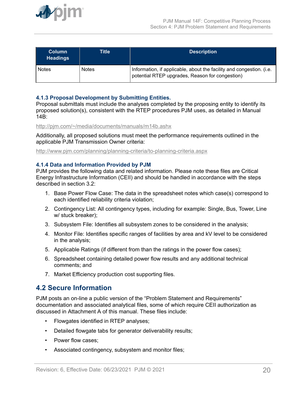<span id="page-19-0"></span>

| <b>Column</b><br><b>Headings</b> | Title        | <b>Description</b>                                                                                                      |
|----------------------------------|--------------|-------------------------------------------------------------------------------------------------------------------------|
| <b>Notes</b>                     | <b>Notes</b> | Information, if applicable, about the facility and congestion. (i.e.<br>potential RTEP upgrades, Reason for congestion) |

#### **4.1.3 Proposal Development by Submitting Entities.**

Proposal submittals must include the analyses completed by the proposing entity to identify its proposed solution(s), consistent with the RTEP procedures PJM uses, as detailed in Manual 14B:

<http://pjm.com/~/media/documents/manuals/m14b.ashx>

Additionally, all proposed solutions must meet the performance requirements outlined in the applicable PJM Transmission Owner criteria:

<http://www.pjm.com/planning/planning-criteria/to-planning-criteria.aspx>

#### **4.1.4 Data and Information Provided by PJM**

PJM provides the following data and related information. Please note these files are Critical Energy Infrastructure Information (CEII) and should be handled in accordance with the steps described in section 3.2:

- 1. Base Power Flow Case: The data in the spreadsheet notes which case(s) correspond to each identified reliability criteria violation;
- 2. Contingency List: All contingency types, including for example: Single, Bus, Tower, Line w/ stuck breaker);
- 3. Subsystem File: Identifies all subsystem zones to be considered in the analysis;
- 4. Monitor File: Identifies specific ranges of facilities by area and kV level to be considered in the analysis;
- 5. Applicable Ratings (if different from than the ratings in the power flow cases);
- 6. Spreadsheet containing detailed power flow results and any additional technical comments; and
- 7. Market Efficiency production cost supporting files.

### **4.2 Secure Information**

PJM posts an on-line a public version of the "Problem Statement and Requirements" documentation and associated analytical files, some of which require CEII authorization as discussed in Attachment A of this manual. These files include:

- Flowgates identified in RTEP analyses;
- Detailed flowgate tabs for generator deliverability results;
- Power flow cases;
- Associated contingency, subsystem and monitor files;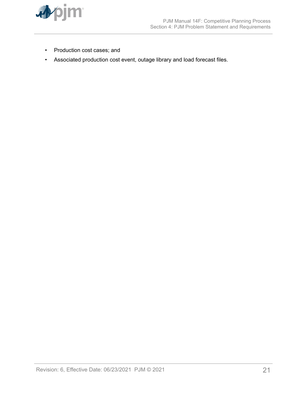

- Production cost cases; and
- Associated production cost event, outage library and load forecast files.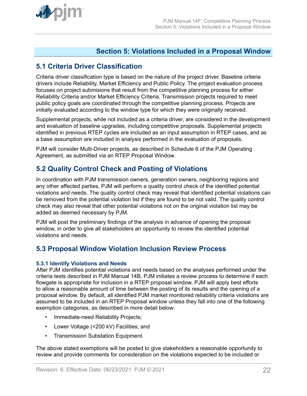<span id="page-21-0"></span>

## **Section 5: Violations Included in a Proposal Window**

## **5.1 Criteria Driver Classification**

Criteria driver classification type is based on the nature of the project driver. Baseline criteria drivers include Reliability, Market Efficiency and Public Policy. The project evaluation process focuses on project submisions that result from the competitive planning process for either Reliability Criteria and/or Market Efficiency Criteria. Transmission projects required to meet public policy goals are coordinated through the competitive planning process. Projects are initially evaluated according to the window type for which they were originally received.

Supplemental projects, while not included as a criteria driver, are considered in the development and evaluation of baseline upgrades, including competitive proposals. Supplemental projects identified in previous RTEP cycles are included as an input assumption in RTEP cases, and as a base assumption are included in analysis performed in the evaluation of proposals.

PJM will consider Multi-Driver projects, as described in Schedule 6 of the PJM Operating Agreement, as submitted via an RTEP Proposal Window.

## **5.2 Quality Control Check and Posting of Violations**

In coordination with PJM transmission owners, generation owners, neighboring regions and any other affected parties, PJM will perform a quality control check of the identified potential violations and needs. The quality control check may reveal that identified potential violations can be removed from the potential violation list if they are found to be not valid. The quality control check may also reveal that other potential violations not on the original violation list may be added as deemed necessary by PJM.

PJM will post the preliminary findings of the analysis in advance of opening the proposal window, in order to give all stakeholders an opportunity to review the identified potential violations and needs.

### **5.3 Proposal Window Violation Inclusion Review Process**

#### **5.3.1 Identify Violations and Needs**

After PJM identifies potential violations and needs based on the analyses performed under the criteria tests described in PJM Manual 14B, PJM initiates a review process to determine if each flowgate is appropriate for inclusion in a RTEP proposal window. PJM will apply best efforts to allow a reasonable amount of time between the posting of its results and the opening of a proposal window. By default, all identified PJM market monitored reliability criteria violations are assumed to be included in an RTEP Proposal window unless they fall into one of the following exemption categories, as described in more detail below:

- Immediate-need Reliability Projects;
- Lower Voltage (<200 kV) Facilities; and
- Transmission Substation Equipment.

The above stated exemptions will be posted to give stakeholders a reasonable opportunity to review and provide comments for consideration on the violations expected to be included or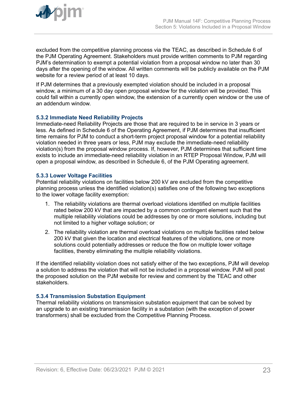<span id="page-22-0"></span>

excluded from the competitive planning process via the TEAC, as described in Schedule 6 of the PJM Operating Agreement. Stakeholders must provide written comments to PJM regarding PJM's determination to exempt a potential violation from a proposal window no later than 30 days after the opening of the window. All written comments will be publicly available on the PJM website for a review period of at least 10 days.

If PJM determines that a previously exempted violation should be included in a proposal window, a minimum of a 30 day open proposal window for the violation will be provided. This could fall within a currently open window, the extension of a currently open window or the use of an addendum window.

#### **5.3.2 Immediate Need Reliability Projects**

Immediate-need Reliability Projects are those that are required to be in service in 3 years or less. As defined in Schedule 6 of the Operating Agreement, if PJM determines that insufficient time remains for PJM to conduct a short-term project proposal window for a potential reliability violation needed in three years or less, PJM may exclude the immediate-need reliability violation(s) from the proposal window process. If, however, PJM determines that sufficient time exists to include an immediate-need reliability violation in an RTEP Proposal Window, PJM will open a proposal window, as described in Schedule 6, of the PJM Operating agreement.

#### **5.3.3 Lower Voltage Facilities**

Potential reliability violations on facilities below 200 kV are excluded from the competitive planning process unless the identified violation(s) satisfies one of the following two exceptions to the lower voltage facility exemption:

- 1. The reliability violations are thermal overload violations identified on multiple facilities rated below 200 kV that are impacted by a common contingent element such that the multiple reliability violations could be addresses by one or more solutions, including but not limited to a higher voltage solution; or
- 2. The reliability violation are thermal overload violations on multiple facilities rated below 200 kV that given the location and electrical features of the violations, one or more solutions could potentially addresses or reduce the flow on multiple lower voltage facilities, thereby eliminating the multiple reliability violations.

If the identified reliability violation does not satisfy either of the two exceptions, PJM will develop a solution to address the violation that will not be included in a proposal window. PJM will post the proposed solution on the PJM website for review and comment by the TEAC and other stakeholders.

#### **5.3.4 Transmission Substation Equipment**

Thermal reliability violations on transmission substation equipment that can be solved by an upgrade to an existing transmission facility in a substation (with the exception of power transformers) shall be excluded from the Competitive Planning Process.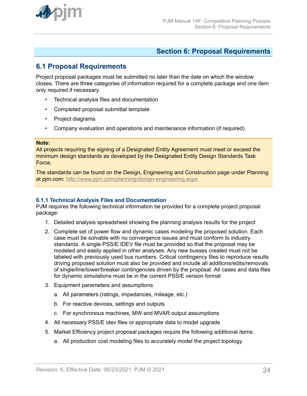<span id="page-23-0"></span>

### **Section 6: Proposal Requirements**

## **6.1 Proposal Requirements**

Project proposal packages must be submitted no later than the date on which the window closes. There are three categories of information required for a complete package and one item only required if necessary.

- Technical analysis files and documentation
- Completed proposal submittal template
- Project diagrams
- Company evaluation and operations and maintenance information (if required)

#### **Note:**

All projects requiring the signing of a Designated Entity Agreement must meet or exceed the minimum design standards as developed by the Designated Entity Design Standards Task Force.

The standards can be found on the Design, Engineering and Construction page under Planning at pjm.com: <http://www.pjm.com/planning/design-engineering.aspx>

#### **6.1.1 Technical Analysis Files and Documentation**

PJM requires the following technical information be provided for a complete project proposal package:

- 1. Detailed analysis spreadsheet showing the planning analysis results for the project
- 2. Complete set of power flow and dynamic cases modeling the proposed solution. Each case must be solvable with no convergence issues and must conform to industry standards. A single PSS/E IDEV file must be provided so that the proposal may be modeled and easily applied in other analyses. Any new busses created must not be labeled with previously used bus numbers. Critical contingency files to reproduce results driving proposed solution must also be provided and include all additions/edits/removals of single/line/tower/breaker contingencies driven by the proposal. All cases and data files for dynamic simulations must be in the current PSS/E version format
- 3. Equipment parameters and assumptions
	- a. All parameters (ratings, impedances, mileage, etc.)
	- b. For reactive devices, settings and outputs
	- c. For synchronous machines, MW and MVAR output assumptions
- 4. All necessary PSS/E idev files or appropriate data to model upgrade
- 5. Market Efficiency project proposal packages require the following additional items:
	- a. All production cost modeling files to accurately model the project topology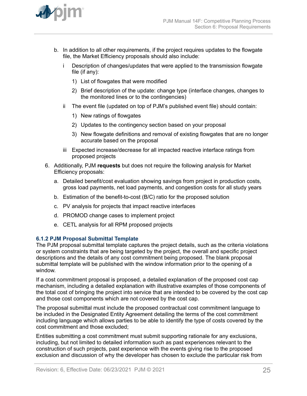<span id="page-24-0"></span>

- b. In addition to all other requirements, if the project requires updates to the flowgate file, the Market Efficiency proposals should also include:
	- i Description of changes/updates that were applied to the transmission flowgate file (if any):
		- 1) List of flowgates that were modified
		- 2) Brief description of the update: change type (interface changes, changes to the monitored lines or to the contingencies)
	- ii The event file (updated on top of PJM's published event file) should contain:
		- 1) New ratings of flowgates
		- 2) Updates to the contingency section based on your proposal
		- 3) New flowgate definitions and removal of existing flowgates that are no longer accurate based on the proposal
	- iii Expected increase/decrease for all impacted reactive interface ratings from proposed projects
- 6. Additionally, PJM **requests** but does not require the following analysis for Market Efficiency proposals:
	- a. Detailed benefit/cost evaluation showing savings from project in production costs, gross load payments, net load payments, and congestion costs for all study years
	- b. Estimation of the benefit-to-cost (B/C) ratio for the proposed solution
	- c. PV analysis for projects that impact reactive interfaces
	- d. PROMOD change cases to implement project
	- e. CETL analysis for all RPM proposed projects

#### **6.1.2 PJM Proposal Submittal Template**

The PJM proposal submittal template captures the project details, such as the criteria violations or system constraints that are being targeted by the project, the overall and specific project descriptions and the details of any cost commitment being proposed. The blank proposal submittal template will be published with the window information prior to the opening of a window.

If a cost commitment proposal is proposed, a detailed explanation of the proposed cost cap mechanism, including a detailed explanation with illustrative examples of those components of the total cost of bringing the project into service that are intended to be covered by the cost cap and those cost components which are not covered by the cost cap.

The proposal submittal must include the proposed contractual cost commitment language to be included in the Designated Entity Agreement detailing the terms of the cost commitment including language which allows parties to be able to identify the type of costs covered by the cost commitment and those excluded;

Entities submitting a cost commitment must submit supporting rationale for any exclusions, including, but not limited to detailed information such as past experiences relevant to the construction of such projects, past experience with the events giving rise to the proposed exclusion and discussion of why the developer has chosen to exclude the particular risk from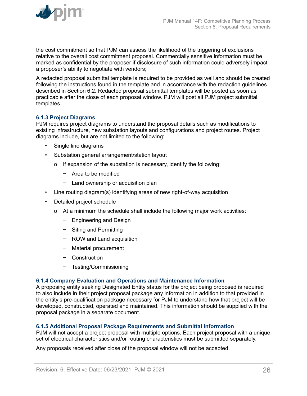<span id="page-25-0"></span>the cost commitment so that PJM can assess the likelihood of the triggering of exclusions relative to the overall cost commitment proposal. Commercially sensitive information must be marked as confidential by the proposer if disclosure of such information could adversely impact a proposer's ability to negotiate with vendors;

A redacted proposal submittal template is required to be provided as well and should be created following the instructions found in the template and in accordance with the redaction guidelines described in Section 6.2. Redacted proposal submittal templates will be posted as soon as practicable after the close of each proposal window. PJM will post all PJM project submittal templates.

#### **6.1.3 Project Diagrams**

PJM requires project diagrams to understand the proposal details such as modifications to existing infrastructure, new substation layouts and configurations and project routes. Project diagrams include, but are not limited to the following:

- Single line diagrams
- Substation general arrangement/station layout
	- o If expansion of the substation is necessary, identify the following:
		- − Area to be modified
		- − Land ownership or acquisition plan
- Line routing diagram(s) identifying areas of new right-of-way acquisition
- Detailed project schedule
	- o At a minimum the schedule shall include the following major work activities:
		- − Engineering and Design
		- − Siting and Permitting
		- − ROW and Land acquisition
		- − Material procurement
		- − Construction
		- − Testing/Commissioning

#### **6.1.4 Company Evaluation and Operations and Maintenance Information**

A proposing entity seeking Designated Entity status for the project being proposed is required to also include in their project proposal package any information in addition to that provided in the entity's pre-qualification package necessary for PJM to understand how that project will be developed, constructed, operated and maintained. This information should be supplied with the proposal package in a separate document.

#### **6.1.5 Additional Proposal Package Requirements and Submittal Information**

PJM will not accept a project proposal with multiple options. Each project proposal with a unique set of electrical characteristics and/or routing characteristics must be submitted separately.

Any proposals received after close of the proposal window will not be accepted.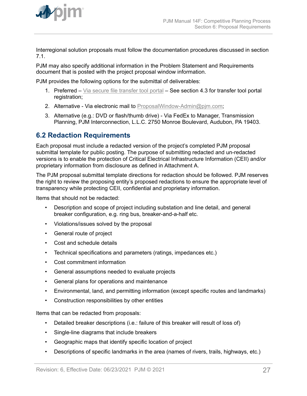<span id="page-26-0"></span>

Interregional solution proposals must follow the documentation procedures discussed in section 7.1.

PJM may also specify additional information in the Problem Statement and Requirements document that is posted with the project proposal window information.

PJM provides the following options for the submittal of deliverables:

- 1. Preferred [Via secure file transfer tool portal](https://sftp.pjm.com/) See section 4.3 for transfer tool portal registration;
- 2. Alternative Via electronic mail to [ProposalWindow-Admin@pjm.com;](mailto:ProposalWindow-Admin@pjm.com)
- 3. Alternative (e.g.: DVD or flash/thumb drive) Via FedEx to Manager, Transmission Planning, PJM Interconnection, L.L.C. 2750 Monroe Boulevard, Audubon, PA 19403.

## **6.2 Redaction Requirements**

Each proposal must include a redacted version of the project's completed PJM proposal submittal template for public posting. The purpose of submitting redacted and un-redacted versions is to enable the protection of Critical Electrical Infrastructure Information (CEII) and/or proprietary information from disclosure as defined in Attachment A.

The PJM proposal submittal template directions for redaction should be followed. PJM reserves the right to review the proposing entity's proposed redactions to ensure the appropriate level of transparency while protecting CEII, confidential and proprietary information.

Items that should not be redacted:

- Description and scope of project including substation and line detail, and general breaker configuration, e.g. ring bus, breaker-and-a-half etc.
- Violations/issues solved by the proposal
- General route of project
- Cost and schedule details
- Technical specifications and parameters (ratings, impedances etc.)
- Cost commitment information
- General assumptions needed to evaluate projects
- General plans for operations and maintenance
- Environmental, land, and permitting information (except specific routes and landmarks)
- Construction responsibilities by other entities

Items that can be redacted from proposals:

- Detailed breaker descriptions (i.e.: failure of this breaker will result of loss of)
- Single-line diagrams that include breakers
- Geographic maps that identify specific location of project
- Descriptions of specific landmarks in the area (names of rivers, trails, highways, etc.)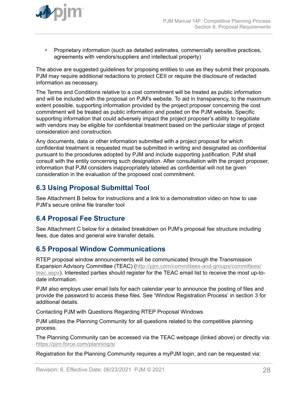<span id="page-27-0"></span>

• Proprietary information (such as detailed estimates, commercially sensitive practices, agreements with vendors/suppliers and intellectual property)

The above are suggested guidelines for proposing entities to use as they submit their proposals. PJM may require additional redactions to protect CEII or require the disclosure of redacted information as necessary.

The Terms and Conditions relative to a cost commitment will be treated as public information and will be included with the proposal on PJM's website. To aid in transparency, to the maximum extent possible, supporting information provided by the project proposer concerning the cost commitment will be treated as public information and posted on the PJM website. Specific supporting information that could adversely impact the project proposer's ability to negotiate with vendors may be eligible for confidential treatment based on the particular stage of project consideration and construction.

Any documents, data or other information submitted with a project proposal for which confidential treatment is requested must be submitted in writing and designated as confidential pursuant to the procedures adopted by PJM and include supporting justification. PJM shall consult with the entity concerning such designation. After consultation with the project proposer, information that PJM considers inappropriately labeled as confidential will not be given consideration in the evaluation of the proposed cost commitment.

## **6.3 Using Proposal Submittal Tool**

See Attachment B below for instructions and a link to a demonstration video on how to use PJM's secure online file transfer tool

### **6.4 Proposal Fee Structure**

See Attachment C below for a detailed breakdown on PJM's proposal fee structure including fees, due dates and general wire transfer details.

### **6.5 Proposal Window Communications**

RTEP proposal window announcements will be communicated through the Transmission Expansion Advisory Committee (TEAC) [\(http://pjm.com/committees-and-groups/committees/](http://pjm.com/committees-and-groups/committees/teac.aspx) [teac.aspx](http://pjm.com/committees-and-groups/committees/teac.aspx)). Interested parties should register for the TEAC email list to receive the most up-todate information.

PJM also employs user email lists for each calendar year to announce the posting of files and provide the password to access these files. See 'Window Registration Process' in section 3 for additional details.

Contacting PJM with Questions Regarding RTEP Proposal Windows

PJM utilizes the Planning Community for all questions related to the competitive planning process.

The Planning Community can be accessed via the TEAC webpage (linked above) or directly via: <https://pjm.force.com/planning/s/>

Registration for the Planning Community requires a myPJM login, and can be requested via: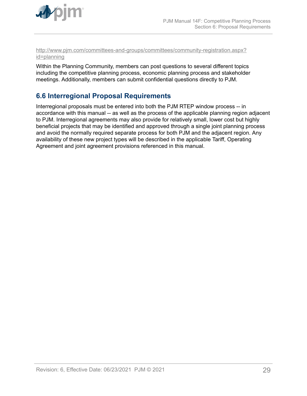<span id="page-28-0"></span>

#### [http://www.pjm.com/committees-and-groups/committees/community-registration.aspx?](http://www.pjm.com/committees-and-groups/committees/community-registration.aspx?id=planning) [id=planning](http://www.pjm.com/committees-and-groups/committees/community-registration.aspx?id=planning)

Within the Planning Community, members can post questions to several different topics including the competitive planning process, economic planning process and stakeholder meetings. Additionally, members can submit confidential questions directly to PJM.

## **6.6 Interregional Proposal Requirements**

Interregional proposals must be entered into both the PJM RTEP window process -- in accordance with this manual -- as well as the process of the applicable planning region adjacent to PJM. Interregional agreements may also provide for relatively small, lower cost but highly beneficial projects that may be identified and approved through a single joint planning process and avoid the normally required separate process for both PJM and the adjacent region. Any availability of these new project types will be described in the applicable Tariff, Operating Agreement and joint agreement provisions referenced in this manual.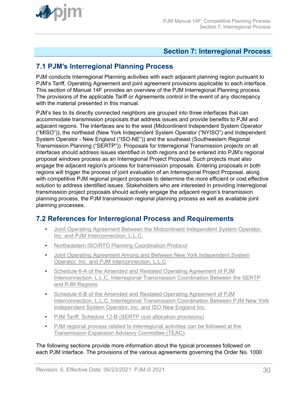<span id="page-29-0"></span>

## **Section 7: Interregional Process**

## **7.1 PJM's Interregional Planning Process**

PJM conducts Interregional Planning activities with each adjacent planning region pursuant to PJM's Tariff, Operating Agreement and joint agreement provisions applicable to each interface. This section of Manual 14F provides an overview of the PJM Interregional Planning process. The provisions of the applicable Tariff or Agreements control in the event of any discrepancy with the material presented in this manual.

PJM's ties to its directly connected neighbors are grouped into three interfaces that can accommodate transmission proposals that address issues and provide benefits to PJM and adjacent regions. The interfaces are to the west (Midcontinent Independent System Operator ("MISO")), the northeast (New York Independent System Operator ("NYISO") and Independent System Operator - New England ("ISO-NE")) and the southeast (Southeastern Regional Transmission Planning ("SERTP")). Proposals for Interregional Transmission projects on all interfaces should address issues identified in both regions and be entered into PJM's regional proposal windows process as an Interregional Project Proposal. Such projects must also engage the adjacent region's process for transmission proposals. Entering proposals in both regions will trigger the process of joint evaluation of an Interregional Project Proposal, along with competitive PJM regional project proposals to determine the more efficient or cost effective solution to address identified issues. Stakeholders who are interested in providing interregional transmission project proposals should actively engage the adjacent region's transmission planning process, the PJM transmission regional planning process as well as available joint planning processes.

## **7.2 References for Interregional Process and Requirements**

- [Joint Operating Agreement Between the Midcontinent Independent System Operator,](https://www.pjm.com/library/governing-documents.aspx) [Inc. and PJM Interconnection, L.L.C.](https://www.pjm.com/library/governing-documents.aspx)
- [Northeastern ISO/RTO Planning Coordination Protocol](http://www.pjm.com/~/Media/documents/agreements/NE_Protocol.ashx)
- [Joint Operating Agreement Among and Between New York Independent System](http://www.pjm.com/library/governing-documents.aspx) [Operator, Inc. and PJM Interconnection, L.L.C](http://www.pjm.com/library/governing-documents.aspx)
- [Schedule 6-A of the Amended and Restated Operating Agreement of PJM](https://www.pjm.com/library/governing-documents.aspx) [Interconnection, L.L.C. Interregional Transmission Coordination Between the SERTP](https://www.pjm.com/library/governing-documents.aspx) [and PJM Regions](https://www.pjm.com/library/governing-documents.aspx)
- [Schedule 6-B of the Amended and Restated Operating Agreement of PJM](https://www.pjm.com/library/governing-documents.aspx) [Interconnection, L.L.C. Interregional Transmission Coordination Between PJM New York](https://www.pjm.com/library/governing-documents.aspx) [Independent System Operator, Inc. and ISO New England Inc.](https://www.pjm.com/library/governing-documents.aspx)
- [PJM Tariff, Schedule 12-B \(SERTP cost allocation provisions\)](https://www.pjm.com/library/governing-documents.aspx)
- [PJM regional process related to interregional activities can be followed at the](http://www.pjm.com/committees-and-groups/committees/teac.aspx) [Transmission Expansion Advisory Committee \(TEAC\)](http://www.pjm.com/committees-and-groups/committees/teac.aspx)

The following sections provide more information about the typical processes followed on each PJM interface. The provisions of the various agreements governing the Order No. 1000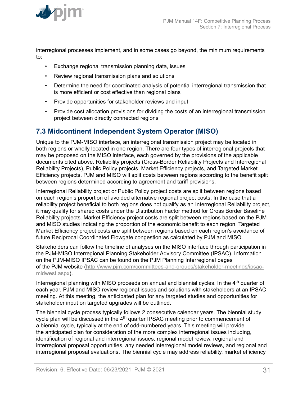<span id="page-30-0"></span>

interregional processes implement, and in some cases go beyond, the minimum requirements to:

- Exchange regional transmission planning data, issues
- Review regional transmission plans and solutions
- Determine the need for coordinated analysis of potential interregional transmission that is more efficient or cost effective than regional plans
- Provide opportunities for stakeholder reviews and input
- Provide cost allocation provisions for dividing the costs of an interregional transmission project between directly connected regions

## **7.3 Midcontinent Independent System Operator (MISO)**

Unique to the PJM-MISO interface, an interregional transmission project may be located in both regions or wholly located in one region. There are four types of interregional projects that may be proposed on the MISO interface, each governed by the provisions of the applicable documents cited above. Reliability projects (Cross-Border Reliability Projects and Interregional Reliability Projects), Public Policy projects, Market Efficiency projects, and Targeted Market Efficiency projects. PJM and MISO will split costs between regions according to the benefit split between regions determined according to agreement and tariff provisions.

Interregional Reliability project or Public Policy project costs are split between regions based on each region's proportion of avoided alternative regional project costs. In the case that a reliability project beneficial to both regions does not qualify as an Interregional Reliability project, it may qualify for shared costs under the Distribution Factor method for Cross Border Baseline Reliability projects. Market Efficiency project costs are split between regions based on the PJM and MISO studies indicating the proportion of the economic benefit to each region. Targeted Market Efficiency project costs are split between regions based on each region's avoidance of future Reciprocal Coordinated Flowgate congestion as calculated by PJM and MISO.

Stakeholders can follow the timeline of analyses on the MISO interface through participation in the PJM-MISO Interregional Planning Stakeholder Advisory Committee (IPSAC). Information on the PJM-MISO IPSAC can be found on the PJM Planning Interregional pages of the PJM website ([http://www.pjm.com/committees-and-groups/stakeholder-meetings/ipsac](http://www.pjm.com/committees-and-groups/stakeholder-meetings/ipsac-midwest.aspx)[midwest.aspx\)](http://www.pjm.com/committees-and-groups/stakeholder-meetings/ipsac-midwest.aspx).

Interregional planning with MISO proceeds on annual and biennial cycles. In the 4<sup>th</sup> quarter of each year, PJM and MISO review regional issues and solutions with stakeholders at an IPSAC meeting. At this meeting, the anticipated plan for any targeted studies and opportunities for stakeholder input on targeted upgrades will be outlined.

The biennial cycle process typically follows 2 consecutive calendar years. The biennial study cycle plan will be discussed in the 4<sup>th</sup> quarter IPSAC meeting prior to commencement of a biennial cycle, typically at the end of odd-numbered years. This meeting will provide the anticipated plan for consideration of the more complex interregional issues including, identification of regional and interregional issues, regional model review, regional and interregional proposal opportunities, any needed interregional model reviews, and regional and interregional proposal evaluations. The biennial cycle may address reliability, market efficiency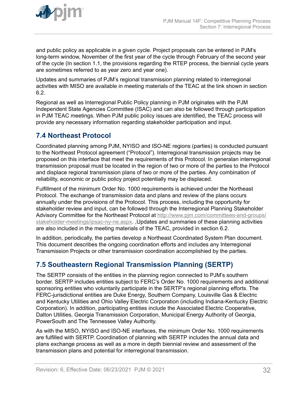<span id="page-31-0"></span>

and public policy as applicable in a given cycle. Project proposals can be entered in PJM's long-term window, November of the first year of the cycle through February of the second year of the cycle (In section 1.1, the provisions regarding the RTEP process, the biennial cycle years are sometimes referred to as year zero and year one).

Updates and summaries of PJM's regional transmission planning related to interregional activities with MISO are available in meeting materials of the TEAC at the link shown in section 6.2.

Regional as well as Interregional Public Policy planning in PJM originates with the PJM Independent State Agencies Committee (ISAC) and can also be followed through participation in PJM TEAC meetings. When PJM public policy issues are identified, the TEAC process will provide any necessary information regarding stakeholder participation and input.

## **7.4 Northeast Protocol**

Coordinated planning among PJM, NYISO and ISO-NE regions (parties) is conducted pursuant to the Northeast Protocol agreement ("Protocol"). Interregional transmission projects may be proposed on this interface that meet the requirements of this Protocol. In generalan interregional transmission proposal must be located in the region of two or more of the parties to the Protocol and displace regional transmission plans of two or more of the parties. Any combination of reliability, economic or public policy project potentially may be displaced.

Fulfillment of the minimum Order No. 1000 requirements is achieved under the Northeast Protocol. The exchange of transmission data and plans and review of the plans occurs annually under the provisions of the Protocol. This process, including the opportunity for stakeholder review and input, can be followed through the Interregional Planning Stakeholder Advisory Committee for the Northeast Protocol at [http://www.pjm.com/committees-and-groups/](http://www.pjm.com/committees-and-groups/stakeholder-meetings/ipsac-ny-ne.aspx) [stakeholder-meetings/ipsac-ny-ne.aspx](http://www.pjm.com/committees-and-groups/stakeholder-meetings/ipsac-ny-ne.aspx). ,Updates and summaries of these planning activities are also included in the meeting materials of the TEAC, provided in section 6.2.

In addition, periodically, the parties develop a Northeast Coordinated System Plan document. This document describes the ongoing coordination efforts and includes any Interregional Transmission Projects or other transmission coordination accomplishied by the parties.

## **7.5 Southeastern Regional Transmission Planning (SERTP)**

The SERTP consists of the entities in the planning region connected to PJM's southern border. SERTP includes entities subject to FERC's Order No. 1000 requirements and additional sponsoring entities who voluntarily participate in the SERTP's regional planning efforts. The FERC-jurisdictional entities are Duke Energy, Southern Company, Louisville Gas & Electric and Kentucky Utilities and Ohio Valley Electric Corporation (including Indiana-Kentucky Electric Corporation). In addition, participating entities include the Associated Electric Cooperative, Dalton Utilities, Georgia Transmission Corporation, Municipal Energy Authority of Georgia, PowerSouth and The Tennessee Valley Authority.

As with the MISO, NYISO and ISO-NE interfaces, the minimum Order No. 1000 requirements are fulfilled with SERTP. Coordination of planning with SERTP includes the annual data and plans exchange process as well as a more in depth biennial review and assessment of the transmission plans and potential for interregional transmission.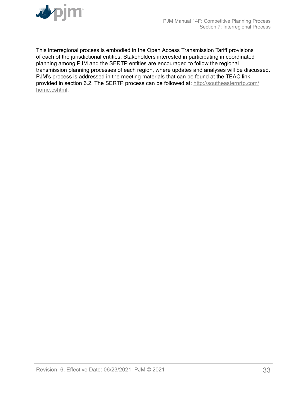

This interregional process is embodied in the Open Access Transmission Tariff provisions of each of the jurisdictional entities. Stakeholders interested in participating in coordinated planning among PJM and the SERTP entities are encouraged to follow the regional transmission planning processes of each region, where updates and analyses will be discussed. PJM's process is addressed in the meeting materials that can be found at the TEAC link provided in section 6.2. The SERTP process can be followed at: [http://southeasternrtp.com/](http://southeasternrtp.com/home.cshtml) [home.cshtml](http://southeasternrtp.com/home.cshtml).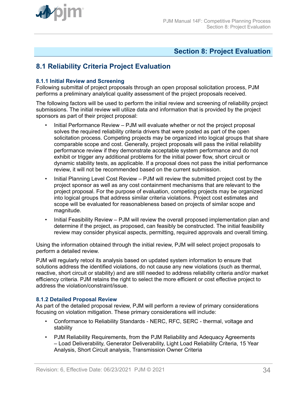<span id="page-33-0"></span>

## **Section 8: Project Evaluation**

## **8.1 Reliability Criteria Project Evaluation**

#### **8.1.1 Initial Review and Screening**

Following submittal of project proposals through an open proposal solicitation process, PJM performs a preliminary analytical quality assessment of the project proposals received.

The following factors will be used to perform the initial review and screening of reliability project submissions. The initial review will utilize data and information that is provided by the project sponsors as part of their project proposal:

- Initial Performance Review PJM will evaluate whether or not the project proposal solves the required reliability criteria drivers that were posted as part of the open solicitation process. Competing projects may be organized into logical groups that share comparable scope and cost. Generally, project proposals will pass the initial reliability performance review if they demonstrate acceptable system performance and do not exhibit or trigger any additional problems for the initial power flow, short circuit or dynamic stability tests, as applicable. If a proposal does not pass the initial performance review, it will not be recommended based on the current submission.
- Initial Planning Level Cost Review PJM will review the submitted project cost by the project sponsor as well as any cost containment mechanisms that are relevant to the project proposal. For the purpose of evaluation, competing projects may be organized into logical groups that address similar criteria violations. Project cost estimates and scope will be evaluated for reasonableness based on projects of similar scope and magnitude.
- Initial Feasibility Review PJM will review the overall proposed implementation plan and determine if the project, as proposed, can feasibly be constructed. The initial feasibility review may consider physical aspects, permitting, required approvals and overall timing.

Using the information obtained through the initial review, PJM will select project proposals to perform a detailed review.

PJM will regularly retool its analysis based on updated system information to ensure that solutions address the identified violations, do not cause any new violations (such as thermal, reactive, short circuit or stability) and are still needed to address reliability criteria and/or market efficiency criteria. PJM retains the right to select the more efficient or cost effective project to address the violation/constraint/issue.

#### **8.1.2 Detailed Proposal Review**

As part of the detailed proposal review, PJM will perform a review of primary considerations focusing on violation mitigation. These primary considerations will include:

- Conformance to Reliability Standards NERC, RFC, SERC thermal, voltage and stability
- PJM Reliability Requirements, from the PJM Reliability and Adequacy Agreements – Load Deliverability, Generator Deliverability, Light Load Reliability Criteria, 15 Year Analysis, Short Circuit analysis, Transmission Owner Criteria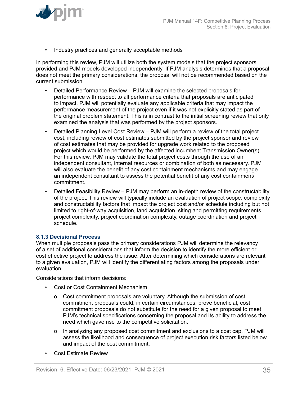<span id="page-34-0"></span>

• Industry practices and generally acceptable methods

In performing this review, PJM will utilize both the system models that the project sponsors provided and PJM models developed independently. If PJM analysis determines that a proposal does not meet the primary considerations, the proposal will not be recommended based on the current submission.

- Detailed Performance Review PJM will examine the selected proposals for performance with respect to all performance criteria that proposals are anticipated to impact. PJM will potentially evaluate any applicable criteria that may impact the performance measurement of the project even if it was not explicitly stated as part of the original problem statement. This is in contrast to the initial screening review that only examined the analysis that was performed by the project sponsors.
- Detailed Planning Level Cost Review PJM will perform a review of the total project cost, including review of cost estimates submitted by the project sponsor and review of cost estimates that may be provided for upgrade work related to the proposed project which would be performed by the affected incumbent Transmission Owner(s). For this review, PJM may validate the total project costs through the use of an independent consultant, internal resources or combination of both as necessary. PJM will also evaluate the benefit of any cost containment mechanisms and may engage an independent consultant to assess the potential benefit of any cost containment/ commitment.
- Detailed Feasibility Review PJM may perform an in-depth review of the constructability of the project. This review will typically include an evaluation of project scope, complexity and constructability factors that impact the project cost and/or schedule including but not limited to right-of-way acquisition, land acquisition, siting and permitting requirements, project complexity, project coordination complexity, outage coordination and project schedule.

#### **8.1.3 Decisional Process**

When multiple proposals pass the primary considerations PJM will determine the relevancy of a set of additional considerations that inform the decision to identify the more efficient or cost effective project to address the issue. After determining which considerations are relevant to a given evaluation, PJM will identify the differentiating factors among the proposals under evaluation.

Considerations that inform decisions:

- Cost or Cost Containment Mechanism
	- o Cost commitment proposals are voluntary. Although the submission of cost commitment proposals could, in certain circumstances, prove beneficial, cost commitment proposals do not substitute for the need for a given proposal to meet PJM's technical specifications concerning the proposal and its ability to address the need which gave rise to the competitive solicitation.
	- o In analyzing any proposed cost commitment and exclusions to a cost cap, PJM will assess the likelihood and consequence of project execution risk factors listed below and impact of the cost commitment.
- Cost Estimate Review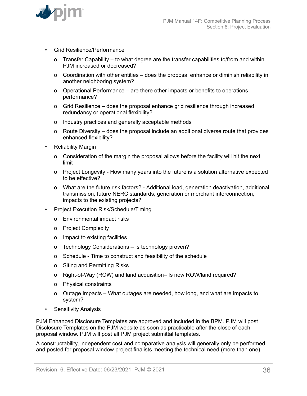

- Grid Resilience/Performance
	- o Transfer Capability to what degree are the transfer capabilities to/from and within PJM increased or decreased?
	- o Coordination with other entities does the proposal enhance or diminish reliability in another neighboring system?
	- o Operational Performance are there other impacts or benefits to operations performance?
	- o Grid Resilience does the proposal enhance grid resilience through increased redundancy or operational flexibility?
	- o Industry practices and generally acceptable methods
	- o Route Diversity does the proposal include an additional diverse route that provides enhanced flexibility?
- **Reliability Margin** 
	- o Consideration of the margin the proposal allows before the facility will hit the next limit
	- o Project Longevity How many years into the future is a solution alternative expected to be effective?
	- o What are the future risk factors? Additional load, generation deactivation, additional transmission, future NERC standards, generation or merchant interconnection, impacts to the existing projects?
- Project Execution Risk/Schedule/Timing
	- o Environmental impact risks
	- o Project Complexity
	- o Impact to existing facilities
	- o Technology Considerations Is technology proven?
	- o Schedule Time to construct and feasibility of the schedule
	- o Siting and Permitting Risks
	- o Right-of-Way (ROW) and land acquisition– Is new ROW/land required?
	- o Physical constraints
	- o Outage Impacts What outages are needed, how long, and what are impacts to system?
- Sensitivity Analysis

PJM Enhanced Disclosure Templates are approved and included in the BPM. PJM will post Disclosure Templates on the PJM website as soon as practicable after the close of each proposal window. PJM will post all PJM project submittal templates.

A constructability, independent cost and comparative analysis will generally only be performed and posted for proposal window project finalists meeting the technical need (more than one),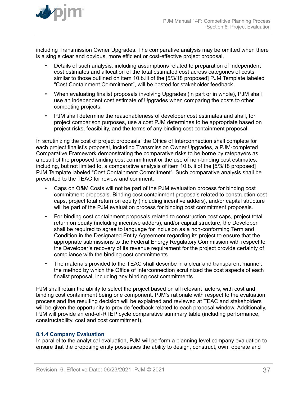

<span id="page-36-0"></span>

including Transmission Owner Upgrades. The comparative analysis may be omitted when there is a single clear and obvious, more efficient or cost-effective project proposal.

- Details of such analysis, including assumptions related to preparation of independent cost estimates and allocation of the total estimated cost across categories of costs similar to those outlined on item 10.b.iii of the [5/3/18 proposed] PJM Template labeled "Cost Containment Commitment", will be posted for stakeholder feedback.
- When evaluating finalist proposals involving Upgrades (in part or in whole), PJM shall use an independent cost estimate of Upgrades when comparing the costs to other competing projects.
- PJM shall determine the reasonableness of developer cost estimates and shall, for project comparison purposes, use a cost PJM determines to be appropriate based on project risks, feasibility, and the terms of any binding cost containment proposal.

In scrutinizing the cost of project proposals, the Office of Interconnection shall complete for each project finalist's proposal, including Transmission Owner Upgrades, a PJM-completed Comparative Framework demonstrating the comparative risks to be borne by ratepayers as a result of the proposed binding cost commitment or the use of non-binding cost estimates, including, but not limited to, a comparative analysis of item 10.b.iii of the [5/3/18 proposed] PJM Template labeled "Cost Containment Commitment". Such comparative analysis shall be presented to the TEAC for review and comment.

- Caps on O&M Costs will not be part of the PJM evaluation process for binding cost commitment proposals. Binding cost containment proposals related to construction cost caps, project total return on equity (including incentive adders), and/or capital structure will be part of the PJM evaluation process for binding cost commitment proposals.
- For binding cost containment proposals related to construction cost caps, project total return on equity (including incentive adders), and/or capital structure, the Developer shall be required to agree to language for inclusion as a non-conforming Term and Condition in the Designated Entity Agreement regarding its project to ensure that the appropriate submissions to the Federal Energy Regulatory Commission with respect to the Developer's recovery of its revenue requirement for the project provide certainty of compliance with the binding cost commitments.
- The materials provided to the TEAC shall describe in a clear and transparent manner, the method by which the Office of Interconnection scrutinized the cost aspects of each finalist proposal, including any binding cost commitments.

PJM shall retain the ability to select the project based on all relevant factors, with cost and binding cost containment being one component. PJM's rationale with respect to the evaluation process and the resulting decision will be explained and reviewed at TEAC and stakeholders will be given the opportunity to provide feedback related to each proposal window. Additionally, PJM will provide an end-of-RTEP cycle comparative summary table (including performance, constructability, cost and cost commitment).

#### **8.1.4 Company Evaluation**

In parallel to the analytical evaluation, PJM will perform a planning level company evaluation to ensure that the proposing entity possesses the ability to design, construct, own, operate and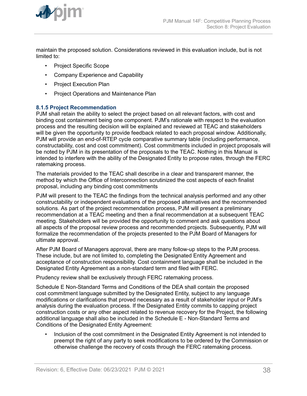<span id="page-37-0"></span>

maintain the proposed solution. Considerations reviewed in this evaluation include, but is not limited to:

- Project Specific Scope
- Company Experience and Capability
- Project Execution Plan
- Project Operations and Maintenance Plan

#### **8.1.5 Project Recommendation**

PJM shall retain the ability to select the project based on all relevant factors, with cost and binding cost containment being one component. PJM's rationale with respect to the evaluation process and the resulting decision will be explained and reviewed at TEAC and stakeholders will be given the opportunity to provide feedback related to each proposal window. Additionally, PJM will provide an end-of-RTEP cycle comparative summary table (including performance, constructability, cost and cost commitment). Cost commitments included in project proposals will be noted by PJM in its presentation of the proposals to the TEAC. Nothing in this Manual is intended to interfere with the ability of the Designated Entity to propose rates, through the FERC ratemaking process.

The materials provided to the TEAC shall describe in a clear and transparent manner, the method by which the Office of Interconnection scrutinized the cost aspects of each finalist proposal, including any binding cost commitments

PJM will present to the TEAC the findings from the technical analysis performed and any other constructability or independent evaluations of the proposed alternatives and the recommended solutions. As part of the project recommendation process, PJM will present a preliminary recommendation at a TEAC meeting and then a final recommendation at a subsequent TEAC meeting. Stakeholders will be provided the opportunity to comment and ask questions about all aspects of the proposal review process and recommended projects. Subsequently, PJM will formalize the recommendation of the projects presented to the PJM Board of Managers for ultimate approval.

After PJM Board of Managers approval, there are many follow-up steps to the PJM process. These include, but are not limited to, completing the Designated Entity Agreement and acceptance of construction responsibility. Cost containment language shall be included in the Designated Entity Agreement as a non-standard term and filed with FERC.

Prudency review shall be exclusively through FERC ratemaking process.

Schedule E Non-Standard Terms and Conditions of the DEA shall contain the proposed cost commitment language submitted by the Designated Entity, subject to any language modifications or clarifications that proved necessary as a result of stakeholder input or PJM's analysis during the evaluation process. If the Designated Entity commits to capping project construction costs or any other aspect related to revenue recovery for the Project, the following additional language shall also be included in the Schedule E - Non-Standard Terms and Conditions of the Designated Entity Agreement:

• Inclusion of the cost commitment in the Designated Entity Agreement is not intended to preempt the right of any party to seek modifications to be ordered by the Commission or otherwise challenge the recovery of costs through the FERC ratemaking process.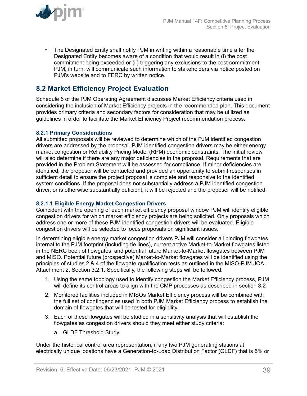<span id="page-38-0"></span>

• The Designated Entity shall notify PJM in writing within a reasonable time after the Designated Entity becomes aware of a condition that would result in (i) the cost commitment being exceeded or (ii) triggering any exclusions to the cost commitment. PJM, in turn, will communicate such information to stakeholders via notice posted on PJM's website and to FERC by written notice.

## **8.2 Market Efficiency Project Evaluation**

Schedule 6 of the PJM Operating Agreement discusses Market Efficiency criteria used in considering the inclusion of Market Efficiency projects in the recommended plan. This document provides primary criteria and secondary factors for consideration that may be utilized as guidelines in order to facilitate the Market Efficiency Project recommendation process.

#### **8.2.1 Primary Considerations**

All submitted proposals will be reviewed to determine which of the PJM identified congestion drivers are addressed by the proposal. PJM identified congestion drivers may be either energy market congestion or Reliability Pricing Model (RPM) economic constraints. The initial review will also determine if there are any major deficiencies in the proposal. Requirements that are provided in the Problem Statement will be assessed for compliance. If minor deficiencies are identified, the proposer will be contacted and provided an opportunity to submit responses in sufficient detail to ensure the project proposal is complete and responsive to the identified system conditions. If the proposal does not substantially address a PJM identified congestion driver, or is otherwise substantially deficient, it will be rejected and the proposer will be notified.

#### **8.2.1.1 Eligible Energy Market Congestion Drivers**

Coincident with the opening of each market efficiency proposal window PJM will identify eligible congestion drivers for which market efficiency projects are being solicited. Only proposals which address one or more of these PJM identified congestion drivers will be evaluated. Eligible congestion drivers will be selected to focus proposals on significant issues.

In determining eligible energy market congestion drivers PJM will consider all binding flowgates internal to the PJM footprint (including tie lines), current active Market-to-Market flowgates listed in the NERC book of flowgates, and potential future Market-to-Market flowgates between PJM and MISO. Potential future (prospective) Market-to-Market flowgates will be identified using the principles of studies 2 & 4 of the flowgate qualification tests as outlined in the MISO-PJM JOA, Attachment 2, Section 3.2.1. Specifically, the following steps will be followed:

- 1. Using the same topology used to identify congestion the Market Efficiency process, PJM will define its control areas to align with the CMP processes as described in section 3.2
- 2. Monitored facilities included in MISOs Market Efficiency process will be combined with the full set of contingencies used in both PJM Market Efficiency process to establish the domain of flowgates that will be tested for eligibility.
- 3. Each of these flowgates will be studied in a sensitivity analysis that will establish the flowgates as congestion drivers should they meet either study criteria:
	- a. GLDF Threshold Study

Under the historical control area representation, if any two PJM generating stations at electrically unique locations have a Generation-to-Load Distribution Factor (GLDF) that is 5% or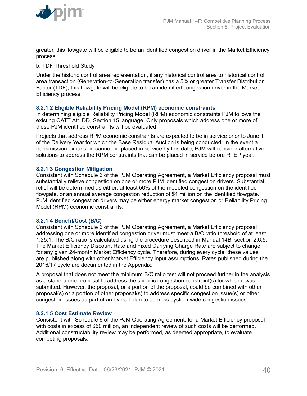<span id="page-39-0"></span>

greater, this flowgate will be eligible to be an identified congestion driver in the Market Efficiency process.

b. TDF Threshold Study

Under the historic control area representation, if any historical control area to historical control area transaction (Generation-to-Generation transfer) has a 5% or greater Transfer Distribution Factor (TDF), this flowgate will be eligible to be an identified congestion driver in the Market Efficiency process

#### **8.2.1.2 Eligible Reliability Pricing Model (RPM) economic constraints**

In determining eligible Reliability Pricing Model (RPM) economic constraints PJM follows the existing OATT Att. DD, Section 15 language. Only proposals which address one or more of these PJM identified constraints will be evaluated.

Projects that address RPM economic constraints are expected to be in service prior to June 1 of the Delivery Year for which the Base Residual Auction is being conducted. In the event a transmission expansion cannot be placed in service by this date, PJM will consider alternative solutions to address the RPM constraints that can be placed in service before RTEP year.

#### **8.2.1.3 Congestion Mitigation**

Consistent with Schedule 6 of the PJM Operating Agreement, a Market Efficiency proposal must substantially relieve congestion on one or more PJM identified congestion drivers. Substantial relief will be determined as either: at least 50% of the modeled congestion on the identified flowgate, or an annual average congestion reduction of \$1 million on the identified flowgate. PJM identified congestion drivers may be either energy market congestion or Reliability Pricing Model (RPM) economic constraints.

#### **8.2.1.4 Benefit/Cost (B/C)**

Consistent with Schedule 6 of the PJM Operating Agreement, a Market Efficiency proposal addressing one or more identified congestion driver must meet a B/C ratio threshold of at least 1.25:1. The B/C ratio is calculated using the procedure described in Manual 14B, section 2.6.5. The Market Efficiency Discount Rate and Fixed Carrying Charge Rate are subject to change for any given 24-month Market Efficiency cycle. Therefore, during every cycle, these values are published along with other Market Efficiency input assumptions. Rates published during the 2016/17 cycle are documented in the Appendix.

A proposal that does not meet the minimum B/C ratio test will not proceed further in the analysis as a stand-alone proposal to address the specific congestion constraint(s) for which it was submitted. However, the proposal, or a portion of the proposal, could be combined with other proposal(s) or a portion of other proposal(s) to address specific congestion issue(s) or other congestion issues as part of an overall plan to address system-wide congestion issues

#### **8.2.1.5 Cost Estimate Review**

Consistent with Schedule 6 of the PJM Operating Agreement, for a Market Efficiency proposal with costs in excess of \$50 million, an independent review of such costs will be performed. Additional constructability review may be performed, as deemed appropriate, to evaluate competing proposals.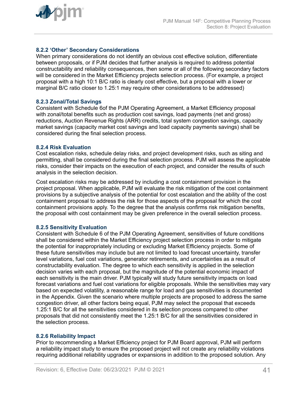<span id="page-40-0"></span>

#### **8.2.2 'Other' Secondary Considerations**

When primary considerations do not identify an obvious cost effective solution, differentiate between proposals, or if PJM decides that further analysis is required to address potential constructability and reliability consequences, then some or all of the following secondary factors will be considered in the Market Efficiency projects selection process. (For example, a project proposal with a high 10:1 B/C ratio is clearly cost effective, but a proposal with a lower or marginal B/C ratio closer to 1.25:1 may require other considerations to be addressed)

#### **8.2.3 Zonal/Total Savings**

Consistent with Schedule 6of the PJM Operating Agreement, a Market Efficiency proposal with zonal/total benefits such as production cost savings, load payments (net and gross) reductions, Auction Revenue Rights (ARR) credits, total system congestion savings, capacity market savings (capacity market cost savings and load capacity payments savings) shall be considered during the final selection process.

#### **8.2.4 Risk Evaluation**

Cost escalation risks, schedule delay risks, and project development risks, such as siting and permitting, shall be considered during the final selection process. PJM will assess the applicable risks, consider their impacts on the execution of each project, and consider the results of such analysis in the selection decision.

Cost escalation risks may be addressed by including a cost containment provision in the project proposal. When applicable, PJM will evaluate the risk mitigation of the cost containment provisions by a subjective analysis of the potential for cost escalation and the ability of the cost containment proposal to address the risk for those aspects of the proposal for which the cost containment provisions apply. To the degree that the analysis confirms risk mitigation benefits, the proposal with cost containment may be given preference in the overall selection process.

#### **8.2.5 Sensitivity Evaluation**

Consistent with Schedule 6 of the PJM Operating Agreement, sensitivities of future conditions shall be considered within the Market Efficiency project selection process in order to mitigate the potential for inappropriately including or excluding Market Efficiency projects. Some of these future sensitivities may include but are not limited to load forecast uncertainty, transfer level variations, fuel cost variations, generator retirements, and uncertainties as a result of constructability evaluation. The degree to which each sensitivity is applied in the selection decision varies with each proposal, but the magnitude of the potential economic impact of each sensitivity is the main driver. PJM typically will study future sensitivity impacts on load forecast variations and fuel cost variations for eligible proposals. While the sensitivities may vary based on expected volatility, a reasonable range for load and gas sensitivities is documented in the Appendix. Given the scenario where multiple projects are proposed to address the same congestion driver, all other factors being equal, PJM may select the proposal that exceeds 1.25:1 B/C for all the sensitivities considered in its selection process compared to other proposals that did not consistently meet the 1.25:1 B/C for all the sensitivities considered in the selection process.

#### **8.2.6 Reliability Impact**

Prior to recommending a Market Efficiency project for PJM Board approval, PJM will perform a reliability impact study to ensure the proposed project will not create any reliability violations requiring additional reliability upgrades or expansions in addition to the proposed solution. Any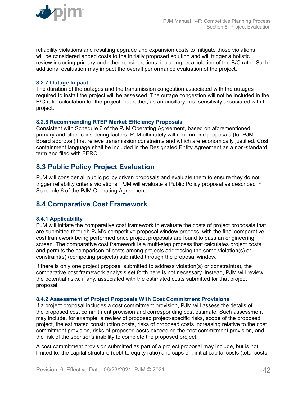<span id="page-41-0"></span>

reliability violations and resulting upgrade and expansion costs to mitigate those violations will be considered added costs to the initially proposed solution and will trigger a holistic review including primary and other considerations, including recalculation of the B/C ratio. Such additional evaluation may impact the overall performance evaluation of the project.

#### **8.2.7 Outage Impact**

The duration of the outages and the transmission congestion associated with the outages required to install the project will be assessed. The outage congestion will not be included in the B/C ratio calculation for the project, but rather, as an ancillary cost sensitivity associated with the project.

#### **8.2.8 Recommending RTEP Market Efficiency Proposals**

Consistent with Schedule 6 of the PJM Operating Agreement, based on aforementioned primary and other considering factors, PJM ultimately will recommend proposals (for PJM Board approval) that relieve transmission constraints and which are economically justified. Cost containment language shall be included in the Designated Entity Agreement as a non-standard term and filed with FERC.

## **8.3 Public Policy Project Evaluation**

PJM will consider all public policy driven proposals and evaluate them to ensure they do not trigger reliability criteria violations. PJM will evaluate a Public Policy proposal as described in Schedule 6 of the PJM Operating Agreement.

## **8.4 Comparative Cost Framework**

#### **8.4.1 Applicability**

PJM will initiate the comparative cost framework to evaluate the costs of project proposals that are submitted through PJM's competitive proposal window process, with the final comparative cost framework being performed once project proposals are found to pass an engineering screen. The comparative cost framework is a multi-step process that calculates project costs and permits the comparison of costs among projects addressing the same violation(s) or constraint(s) (competing projects) submitted through the proposal window.

If there is only one project proposal submitted to address violation(s) or constraint(s), the comparative cost framework analysis set forth here is not necessary. Instead, PJM will review the potential risks, if any, associated with the estimated costs submitted for that project proposal.

#### **8.4.2 Assessment of Project Proposals With Cost Commitment Provisions**

If a project proposal includes a cost commitment provision, PJM will assess the details of the proposed cost commitment provision and corresponding cost estimate. Such assessment may include, for example, a review of proposed project-specific risks, scope of the proposed project, the estimated construction costs, risks of proposed costs increasing relative to the cost commitment provision, risks of proposed costs exceeding the cost commitment provision, and the risk of the sponsor's inability to complete the proposed project.

A cost commitment provision submitted as part of a project proposal may include, but is not limited to, the capital structure (debt to equity ratio) and caps on: initial capital costs (total costs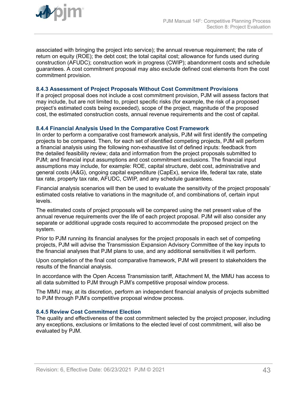<span id="page-42-0"></span>

associated with bringing the project into service); the annual revenue requirement; the rate of return on equity (ROE); the debt cost; the total capital cost; allowance for funds used during construction (AFUDC); construction work in progress (CWIP); abandonment costs and schedule guarantees. A cost commitment proposal may also exclude defined cost elements from the cost commitment provision.

#### **8.4.3 Assessment of Project Proposals Without Cost Commitment Provisions**

If a project proposal does not include a cost commitment provision, PJM will assess factors that may include, but are not limited to, project specific risks (for example, the risk of a proposed project's estimated costs being exceeded), scope of the project, magnitude of the proposed cost, the estimated construction costs, annual revenue requirements and the cost of capital.

#### **8.4.4 Financial Analysis Used In the Comparative Cost Framework**

In order to perform a comparative cost framework analysis, PJM will first identify the competing projects to be compared. Then, for each set of identified competing projects, PJM will perform a financial analysis using the following non-exhaustive list of defined inputs: feedback from the detailed feasibility review; data and information from the project proposals submitted to PJM; and financial input assumptions and cost commitment exclusions. The financial input assumptions may include, for example: ROE, capital structure, debt cost, administrative and general costs (A&G), ongoing capital expenditure (CapEx), service life, federal tax rate, state tax rate, property tax rate, AFUDC, CWIP, and any schedule guarantees.

Financial analysis scenarios will then be used to evaluate the sensitivity of the project proposals' estimated costs relative to variations in the magnitude of, and combinations of, certain input levels.

The estimated costs of project proposals will be compared using the net present value of the annual revenue requirements over the life of each project proposal. PJM will also consider any separate or additional upgrade costs required to accommodate the proposed project on the system.

Prior to PJM running its financial analyses for the project proposals in each set of competing projects, PJM will advise the Transmission Expansion Advisory Committee of the key inputs to the financial analyses that PJM plans to use, and any additional sensitivities it will perform.

Upon completion of the final cost comparative framework, PJM will present to stakeholders the results of the financial analysis.

In accordance with the Open Access Transmission tariff, Attachment M, the MMU has access to all data submitted to PJM through PJM's competitive proposal window process.

The MMU may, at its discretion, perform an independent financial analysis of projects submitted to PJM through PJM's competitive proposal window process.

#### **8.4.5 Review Cost Commitment Election**

The quality and effectiveness of the cost commitment selected by the project proposer, including any exceptions, exclusions or limitations to the elected level of cost commitment, will also be evaluated by PJM.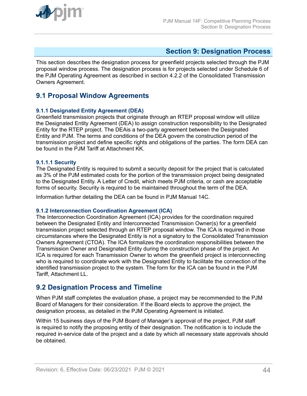<span id="page-43-0"></span>

## **Section 9: Designation Process**

This section describes the designation process for greenfield projects selected through the PJM proposal window process. The designation process is for projects selected under Schedule 6 of the PJM Operating Agreement as described in section 4.2.2 of the Consolidated Transmission Owners Agreement.

## **9.1 Proposal Window Agreements**

#### **9.1.1 Designated Entity Agreement (DEA)**

Greenfield transmission projects that originate through an RTEP proposal window will utilize the Designated Entity Agreement (DEA) to assign construction responsibility to the Designated Entity for the RTEP project. The DEAis a two-party agreement between the Designated Entity and PJM. The terms and conditions of the DEA govern the construction period of the transmission project and define specific rights and obligations of the parties. The form DEA can be found in the PJM Tariff at Attachment KK.

#### **9.1.1.1 Security**

The Designated Entity is required to submit a security deposit for the project that is calculated as 3% of the PJM estimated costs for the portion of the transmission project being designated to the Designated Entity. A Letter of Credit, which meets PJM criteria, or cash are acceptable forms of security. Security is required to be maintained throughout the term of the DEA.

Information further detailing the DEA can be found in PJM Manual 14C.

#### **9.1.2 Interconnection Coordination Agreement (ICA)**

The Interconnection Coordination Agreement (ICA) provides for the coordination required between the Designated Entity and Interconnected Transmission Owner(s) for a greenfield transmission project selected through an RTEP proposal window. The ICA is required in those circumstances where the Designated Entity is not a signatory to the Consolidated Transmission Owners Agreement (CTOA). The ICA formalizes the coordination responsibilities between the Transmission Owner and Designated Entity during the construction phase of the project. An ICA is required for each Transmission Owner to whom the greenfield project is interconnecting who is required to coordinate work with the Designated Entity to facilitate the connection of the identified transmission project to the system. The form for the ICA can be found in the PJM Tariff, Attachment LL.

### **9.2 Designation Process and Timeline**

When PJM staff completes the evaluation phase, a project may be recommended to the PJM Board of Managers for their consideration. If the Board elects to approve the project, the designation process, as detailed in the PJM Operating Agreement is initiated.

Within 15 business days of the PJM Board of Manager's approval of the project, PJM staff is required to notify the proposing entity of their designation. The notification is to include the required in-service date of the project and a date by which all necessary state approvals should be obtained.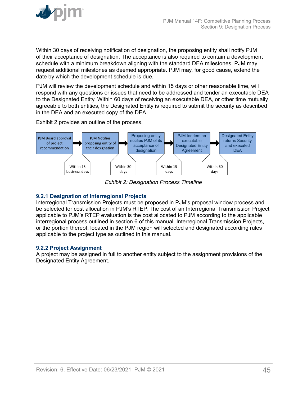<span id="page-44-0"></span>

Within 30 days of receiving notification of designation, the proposing entity shall notify PJM of their acceptance of designation. The acceptance is also required to contain a development schedule with a minimum breakdown aligning with the standard DEA milestones. PJM may request additional milestones as deemed appropriate. PJM may, for good cause, extend the date by which the development schedule is due.

PJM will review the development schedule and within 15 days or other reasonable time, will respond with any questions or issues that need to be addressed and tender an executable DEA to the Designated Entity. Within 60 days of receiving an executable DEA, or other time mutually agreeable to both entities, the Designated Entity is required to submit the security as described in the DEA and an executed copy of the DEA.

Exhibit 2 provides an outline of the process.



*Exhibit 2: Designation Process Timeline*

#### **9.2.1 Designation of Interregional Projects**

Interregional Transmission Projects must be proposed in PJM's proposal window process and be selected for cost allocation in PJM's RTEP. The cost of an Interregional Transmission Project applicable to PJM's RTEP evaluation is the cost allocated to PJM according to the applicable interregional process outlined in section 6 of this manual. Interregional Transmission Projects, or the portion thereof, located in the PJM region will selected and designated according rules applicable to the project type as outlined in this manual.

#### **9.2.2 Project Assignment**

A project may be assigned in full to another entity subject to the assignment provisions of the Designated Entity Agreement.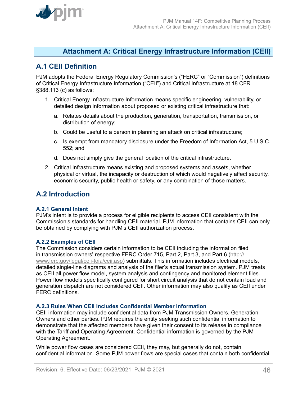<span id="page-45-0"></span>

## **Attachment A: Critical Energy Infrastructure Information (CEII)**

## **A.1 CEII Definition**

PJM adopts the Federal Energy Regulatory Commission's ("FERC" or "Commission") definitions of Critical Energy Infrastructure Information ("CEII") and Critical Infrastructure at 18 CFR §388.113 (c) as follows:

- 1. Critical Energy Infrastructure Information means specific engineering, vulnerability, or detailed design information about proposed or existing critical infrastructure that:
	- a. Relates details about the production, generation, transportation, transmission, or distribution of energy;
	- b. Could be useful to a person in planning an attack on critical infrastructure;
	- c. Is exempt from mandatory disclosure under the Freedom of Information Act, 5 U.S.C. 552; and
	- d. Does not simply give the general location of the critical infrastructure.
- 2. Critical Infrastructure means existing and proposed systems and assets, whether physical or virtual, the incapacity or destruction of which would negatively affect security, economic security, public health or safety, or any combination of those matters.

## **A.2 Introduction**

#### **A.2.1 General Intent**

PJM's intent is to provide a process for eligible recipients to access CEII consistent with the Commission's standards for handling CEII material. PJM information that contains CEII can only be obtained by complying with PJM's CEII authorization process.

#### **A.2.2 Examples of CEII**

The Commission considers certain information to be CEII including the information filed in transmission owners' respective FERC Order 715, Part 2, Part 3, and Part 6 ([http://](http://www.ferc.gov/legal/ceii-foia/ceii.asp) [www.ferc.gov/legal/ceii-foia/ceii.asp](http://www.ferc.gov/legal/ceii-foia/ceii.asp)) submittals. This information includes electrical models, detailed single-line diagrams and analysis of the filer's actual transmission system. PJM treats as CEII all power flow model, system analysis and contingency and monitored element files. Power flow models specifically configured for short circuit analysis that do not contain load and generation dispatch are not considered CEII. Other information may also qualify as CEII under FERC definitions.

#### **A.2.3 Rules When CEII Includes Confidential Member Information**

CEII information may include confidential data from PJM Transmission Owners, Generation Owners and other parties. PJM requires the entity seeking such confidential information to demonstrate that the affected members have given their consent to its release in compliance with the Tariff and Operating Agreement. Confidential information is governed by the PJM Operating Agreement.

While power flow cases are considered CEII, they may, but generally do not, contain confidential information. Some PJM power flows are special cases that contain both confidential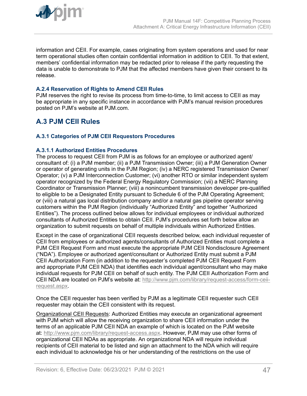<span id="page-46-0"></span>

information and CEII. For example, cases originating from system operations and used for near term operational studies often contain confidential information in addition to CEII. To that extent, members' confidential information may be redacted prior to release if the party requesting the data is unable to demonstrate to PJM that the affected members have given their consent to its release.

#### **A.2.4 Reservation of Rights to Amend CEII Rules**

PJM reserves the right to revise its process from time-to-time, to limit access to CEII as may be appropriate in any specific instance in accordance with PJM's manual revision procedures posted on PJM's website at PJM.com.

## **A.3 PJM CEII Rules**

#### **A.3.1 Categories of PJM CEII Requestors Procedures**

#### **A.3.1.1 Authorized Entities Procedures**

The process to request CEII from PJM is as follows for an employee or authorized agent/ consultant of: (i) a PJM member; (ii) a PJM Transmission Owner; (iii) a PJM Generation Owner or operator of generating units in the PJM Region; (iv) a NERC registered Transmission Owner/ Operator; (v) a PJM Interconnection Customer; (vi) another RTO or similar independent system operator recognized by the Federal Energy Regulatory Commission; (vii) a NERC Planning Coordinator or Transmission Planner; (viii) a nonincumbent transmission developer pre-qualified to eligible to be a Designated Entity pursuant to Schedule 6 of the PJM Operating Agreement; or (viii) a natural gas local distribution company and/or a natural gas pipeline operator serving customers within the PJM Region (individually "Authorized Entity" and together "Authorized Entities"). The process outlined below allows for individual employees or individual authorized consultants of Authorized Entities to obtain CEII. PJM's procedures set forth below allow an organization to submit requests on behalf of multiple individuals within Authorized Entities.

Except in the case of organizational CEII requests described below, each individual requester of CEII from employees or authorized agents/consultants of Authorized Entities must complete a PJM CEII Request Form and must execute the appropriate PJM CEII Nondisclosure Agreement ("NDA"). Employee or authorized agent/consultant or Authorized Entity must submit a PJM CEII Authorization Form (in addition to the requester's completed PJM CEII Request Form and appropriate PJM CEII NDA) that identifies each individual agent/consultant who may make individual requests for PJM CEII on behalf of such entity. The PJM CEII Authorization Form and CEII NDA are located on PJM's website at: [http://www.pjm.com/library/request-access/form-ceii](http://www.pjm.com/library/request-access/form-ceii-request.aspx)[request.aspx.](http://www.pjm.com/library/request-access/form-ceii-request.aspx)

Once the CEII requester has been verified by PJM as a legitimate CEII requester such CEII requester may obtain the CEII consistent with its request.

Organizational CEII Requests: Authorized Entities may execute an organizational agreement with PJM which will allow the receiving organization to share CEII information under the terms of an applicable PJM CEII NDA an example of which is located on the PJM website at: [http://www.pjm.com/library/request-access.aspx.](http://www.pjm.com/library/request-access.aspx) However, PJM may use other forms of organizational CEII NDAs as appropriate. An organizational NDA will require individual recipients of CEII material to be listed and sign an attachment to the NDA which will require each individual to acknowledge his or her understanding of the restrictions on the use of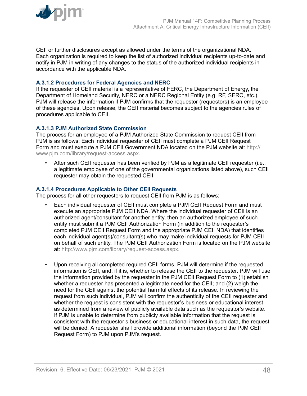<span id="page-47-0"></span>

CEII or further disclosures except as allowed under the terms of the organizational NDA. Each organization is required to keep the list of authorized individual recipients up-to-date and notify in PJM in writing of any changes to the status of the authorized individual recipients in accordance with the applicable NDA.

#### **A.3.1.2 Procedures for Federal Agencies and NERC**

If the requester of CEII material is a representative of FERC, the Department of Energy, the Department of Homeland Security, NERC or a NERC Regional Entity (e.g. RF, SERC, etc.), PJM will release the information if PJM confirms that the requestor (requestors) is an employee of these agencies. Upon release, the CEII material becomes subject to the agencies rules of procedures applicable to CEII.

#### **A.3.1.3 PJM Authorized State Commission**

The process for an employee of a PJM Authorized State Commission to request CEII from PJM is as follows: Each individual requester of CEII must complete a PJM CEII Request Form and must execute a PJM CEII Government NDA located on the PJM website at: [http://](http://www.pjm.com/library/request-access.aspx) [www.pjm.com/library/request-access.aspx.](http://www.pjm.com/library/request-access.aspx)

• After such CEII requester has been verified by PJM as a legitimate CEII requester (i.e., a legitimate employee of one of the governmental organizations listed above), such CEII requester may obtain the requested CEII.

#### **A.3.1.4 Procedures Applicable to Other CEII Requests**

The process for all other requestors to request CEII from PJM is as follows:

- Each individual requester of CEII must complete a PJM CEII Request Form and must execute an appropriate PJM CEII NDA. Where the individual requester of CEII is an authorized agent/consultant for another entity, then an authorized employee of such entity must submit a PJM CEII Authorization Form (in addition to the requester's completed PJM CEII Request Form and the appropriate PJM CEII NDA) that identifies each individual agent(s)/consultant(s) who may make individual requests for PJM CEII on behalf of such entity. The PJM CEII Authorization Form is located on the PJM website at:<http://www.pjm.com/library/request-access.aspx>.
- Upon receiving all completed required CEII forms, PJM will determine if the requested information is CEII, and, if it is, whether to release the CEII to the requester. PJM will use the information provided by the requester in the PJM CEII Request Form to (1) establish whether a requester has presented a legitimate need for the CEII; and (2) weigh the need for the CEII against the potential harmful effects of its release. In reviewing the request from such individual, PJM will confirm the authenticity of the CEII requester and whether the request is consistent with the requestor's business or educational interest as determined from a review of publicly available data such as the requestor's website. If PJM is unable to determine from publicly available information that the request is consistent with the requestor's business or educational interest in such data, the request will be denied. A requester shall provide additional information (beyond the PJM CEII Request Form) to PJM upon PJM's request.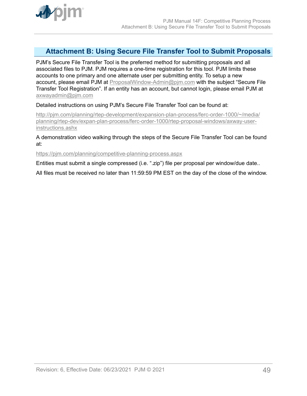<span id="page-48-0"></span>

## **Attachment B: Using Secure File Transfer Tool to Submit Proposals**

PJM's Secure File Transfer Tool is the preferred method for submitting proposals and all associated files to PJM. PJM requires a one-time registration for this tool. PJM limits these accounts to one primary and one alternate user per submitting entity. To setup a new account, please email PJM at [ProposalWindow-Admin@pjm.com](mailto:ProposalWindow-Admin@pjm.com) with the subject "Secure File Transfer Tool Registration". If an entity has an account, but cannot login, please email PJM at [axwayadmin@pjm.com](mailto:axwayadmin@pjm.com)

Detailed instructions on using PJM's Secure File Transfer Tool can be found at:

[http://pjm.com/planning/rtep-development/expansion-plan-process/ferc-order-1000/~/media/](http://pjm.com/planning/rtep-development/expansion-plan-process/ferc-order-1000/~/media/planning/rtep-dev/expan-plan-process/ferc-order-1000/rtep-proposal-windows/axway-user-instructions.ashx) [planning/rtep-dev/expan-plan-process/ferc-order-1000/rtep-proposal-windows/axway-user](http://pjm.com/planning/rtep-development/expansion-plan-process/ferc-order-1000/~/media/planning/rtep-dev/expan-plan-process/ferc-order-1000/rtep-proposal-windows/axway-user-instructions.ashx)[instructions.ashx](http://pjm.com/planning/rtep-development/expansion-plan-process/ferc-order-1000/~/media/planning/rtep-dev/expan-plan-process/ferc-order-1000/rtep-proposal-windows/axway-user-instructions.ashx)

A demonstration video walking through the steps of the Secure File Transfer Tool can be found at:

<https://pjm.com/planning/competitive-planning-process.aspx>

Entities must submit a single compressed (i.e. ".zip") file per proposal per window/due date..

All files must be received no later than 11:59:59 PM EST on the day of the close of the window.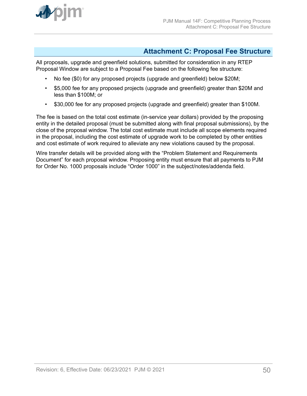<span id="page-49-0"></span>

## **Attachment C: Proposal Fee Structure**

All proposals, upgrade and greenfield solutions, submitted for consideration in any RTEP Proposal Window are subject to a Proposal Fee based on the following fee structure:

- No fee (\$0) for any proposed projects (upgrade and greenfield) below \$20M;
- \$5,000 fee for any proposed projects (upgrade and greenfield) greater than \$20M and less than \$100M; or
- \$30,000 fee for any proposed projects (upgrade and greenfield) greater than \$100M.

The fee is based on the total cost estimate (in-service year dollars) provided by the proposing entity in the detailed proposal (must be submitted along with final proposal submissions), by the close of the proposal window. The total cost estimate must include all scope elements required in the proposal, including the cost estimate of upgrade work to be completed by other entities and cost estimate of work required to alleviate any new violations caused by the proposal.

Wire transfer details will be provided along with the "Problem Statement and Requirements Document" for each proposal window. Proposing entity must ensure that all payments to PJM for Order No. 1000 proposals include "Order 1000" in the subject/notes/addenda field.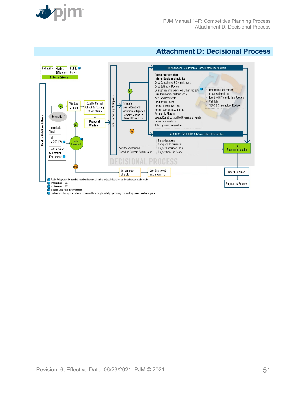<span id="page-50-0"></span>

## **Attachment D: Decisional Process**

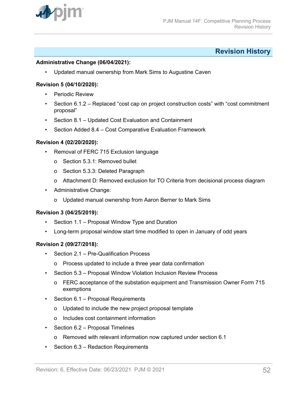<span id="page-51-0"></span>

## **Revision History**

#### **Administrative Change (06/04/2021):**

• Updated manual ownership from Mark Sims to Augustine Caven

#### **Revision 5 (04/10/2020):**

- Periodic Review
- Section 6.1.2 Replaced "cost cap on project construction costs" with "cost commitment proposal"
- Section 8.1 Updated Cost Evaluation and Containment
- Section Added 8.4 Cost Comparative Evaluation Framework

#### **Revision 4 (02/20/2020):**

- Removal of FERC 715 Exclusion language
	- o Section 5.3.1: Removed bullet
	- o Section 5.3.3: Deleted Paragraph
	- o Attachment D: Removed exclusion for TO Criteria from decisional process diagram
- Administrative Change:
	- o Updated manual ownership from Aaron Berner to Mark Sims

#### **Revision 3 (04/25/2019):**

- Section 1.1 Proposal Window Type and Duration
- Long-term proposal window start time modified to open in January of odd years

#### **Revision 2 (09/27/2018):**

- Section 2.1 Pre-Qualification Process
	- o Process updated to include a three year data confirmation
- Section 5.3 Proposal Window Violation Inclusion Review Process
	- o FERC acceptance of the substation equipment and Transmission Owner Form 715 exemptions
- Section 6.1 Proposal Requirements
	- o Updated to include the new project proposal template
	- o Includes cost containment information
- Section 6.2 Proposal Timelines
	- o Removed with relevant information now captured under section 6.1
- Section 6.3 Redaction Requirements